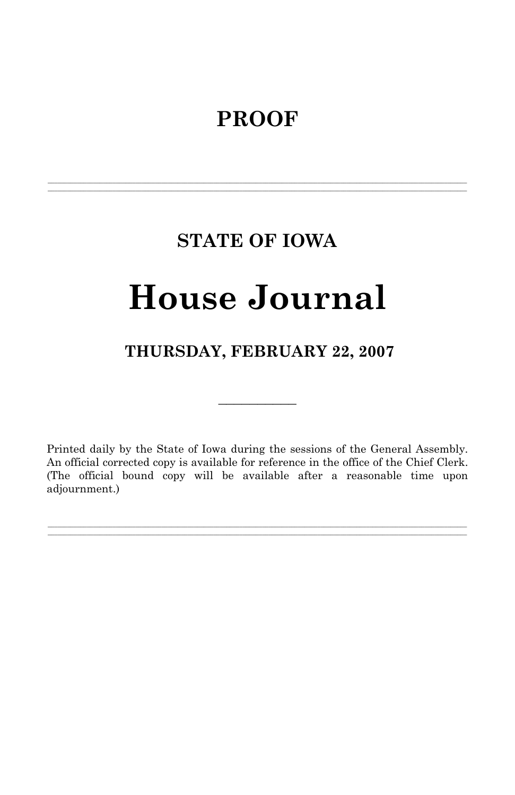# **PROOF**

# **STATE OF IOWA**

**\_\_\_\_\_\_\_\_\_\_\_\_\_\_\_\_\_\_\_\_\_\_\_\_\_\_\_\_\_\_\_\_\_\_\_\_\_\_\_\_\_\_\_\_\_\_\_\_\_\_\_\_\_\_\_\_\_\_\_\_\_\_\_\_\_\_\_\_\_\_\_\_\_\_\_\_\_\_\_\_\_\_\_\_\_\_\_\_\_\_\_\_\_\_\_\_\_\_\_\_\_\_\_\_\_\_\_\_\_\_\_\_\_\_\_\_\_\_\_\_\_\_\_\_\_\_\_\_\_ \_\_\_\_\_\_\_\_\_\_\_\_\_\_\_\_\_\_\_\_\_\_\_\_\_\_\_\_\_\_\_\_\_\_\_\_\_\_\_\_\_\_\_\_\_\_\_\_\_\_\_\_\_\_\_\_\_\_\_\_\_\_\_\_\_\_\_\_\_\_\_\_\_\_\_\_\_\_\_\_\_\_\_\_\_\_\_\_\_\_\_\_\_\_\_\_\_\_\_\_\_\_\_\_\_\_\_\_\_\_\_\_\_\_\_\_\_\_\_\_\_\_\_\_\_\_\_\_\_**

# **House Journal**

# **THURSDAY, FEBRUARY 22, 2007**

 $\mathcal{L}_\text{max}$ 

Printed daily by the State of Iowa during the sessions of the General Assembly. An official corrected copy is available for reference in the office of the Chief Clerk. (The official bound copy will be available after a reasonable time upon adjournment.)

**\_\_\_\_\_\_\_\_\_\_\_\_\_\_\_\_\_\_\_\_\_\_\_\_\_\_\_\_\_\_\_\_\_\_\_\_\_\_\_\_\_\_\_\_\_\_\_\_\_\_\_\_\_\_\_\_\_\_\_\_\_\_\_\_\_\_\_\_\_\_\_\_\_\_\_\_\_\_\_\_\_\_\_\_\_\_\_\_\_\_\_\_\_\_\_\_\_\_\_\_\_\_\_\_\_\_\_\_\_\_\_\_\_\_\_\_\_\_\_\_\_\_\_\_\_\_\_\_\_ \_\_\_\_\_\_\_\_\_\_\_\_\_\_\_\_\_\_\_\_\_\_\_\_\_\_\_\_\_\_\_\_\_\_\_\_\_\_\_\_\_\_\_\_\_\_\_\_\_\_\_\_\_\_\_\_\_\_\_\_\_\_\_\_\_\_\_\_\_\_\_\_\_\_\_\_\_\_\_\_\_\_\_\_\_\_\_\_\_\_\_\_\_\_\_\_\_\_\_\_\_\_\_\_\_\_\_\_\_\_\_\_\_\_\_\_\_\_\_\_\_\_\_\_\_\_\_\_\_**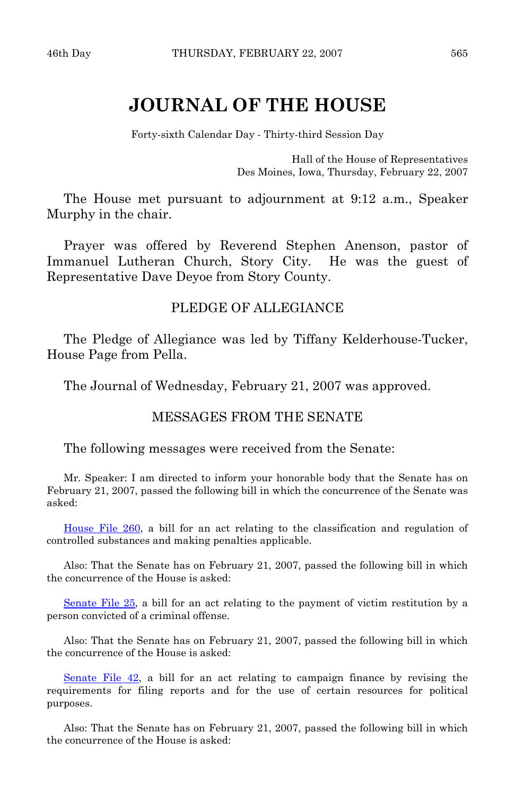# **JOURNAL OF THE HOUSE**

Forty-sixth Calendar Day - Thirty-third Session Day

Hall of the House of Representatives Des Moines, Iowa, Thursday, February 22, 2007

 The House met pursuant to adjournment at 9:12 a.m., Speaker Murphy in the chair.

 Prayer was offered by Reverend Stephen Anenson, pastor of Immanuel Lutheran Church, Story City. He was the guest of Representative Dave Deyoe from Story County.

# PLEDGE OF ALLEGIANCE

 The Pledge of Allegiance was led by Tiffany Kelderhouse-Tucker, House Page from Pella.

The Journal of Wednesday, February 21, 2007 was approved.

# MESSAGES FROM THE SENATE

## The following messages were received from the Senate:

 Mr. Speaker: I am directed to inform your honorable body that the Senate has on February 21, 2007, passed the following bill in which the concurrence of the Senate was asked:

[House File 260,](http://coolice.legis.state.ia.us/Cool-ICE/default.asp?Category=billinfo&Service=Billbook&frame=1&GA=82&hbill=HF260) a bill for an act relating to the classification and regulation of controlled substances and making penalties applicable.

 Also: That the Senate has on February 21, 2007, passed the following bill in which the concurrence of the House is asked:

[Senate File 25,](http://coolice.legis.state.ia.us/Cool-ICE/default.asp?Category=billinfo&Service=Billbook&frame=1&GA=82&hbill=SF25) a bill for an act relating to the payment of victim restitution by a person convicted of a criminal offense.

 Also: That the Senate has on February 21, 2007, passed the following bill in which the concurrence of the House is asked:

[Senate File 42,](http://coolice.legis.state.ia.us/Cool-ICE/default.asp?Category=billinfo&Service=Billbook&frame=1&GA=82&hbill=SF42) a bill for an act relating to campaign finance by revising the requirements for filing reports and for the use of certain resources for political purposes.

 Also: That the Senate has on February 21, 2007, passed the following bill in which the concurrence of the House is asked: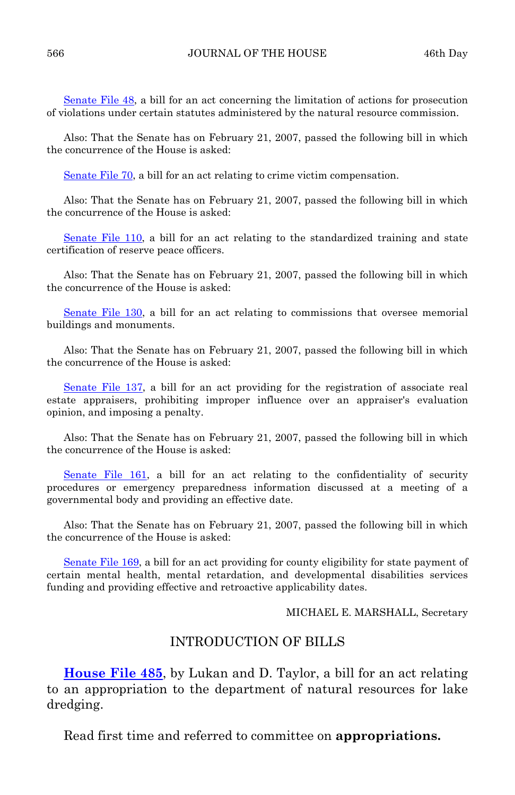[Senate File 48](http://coolice.legis.state.ia.us/Cool-ICE/default.asp?Category=billinfo&Service=Billbook&frame=1&GA=82&hbill=SF48), a bill for an act concerning the limitation of actions for prosecution of violations under certain statutes administered by the natural resource commission.

 Also: That the Senate has on February 21, 2007, passed the following bill in which the concurrence of the House is asked:

[Senate File 70](http://coolice.legis.state.ia.us/Cool-ICE/default.asp?Category=billinfo&Service=Billbook&frame=1&GA=82&hbill=SF70), a bill for an act relating to crime victim compensation.

 Also: That the Senate has on February 21, 2007, passed the following bill in which the concurrence of the House is asked:

[Senate File 110](http://coolice.legis.state.ia.us/Cool-ICE/default.asp?Category=billinfo&Service=Billbook&frame=1&GA=82&hbill=SF110), a bill for an act relating to the standardized training and state certification of reserve peace officers.

 Also: That the Senate has on February 21, 2007, passed the following bill in which the concurrence of the House is asked:

[Senate File 130](http://coolice.legis.state.ia.us/Cool-ICE/default.asp?Category=billinfo&Service=Billbook&frame=1&GA=82&hbill=SF130), a bill for an act relating to commissions that oversee memorial buildings and monuments.

 Also: That the Senate has on February 21, 2007, passed the following bill in which the concurrence of the House is asked:

[Senate File 137,](http://coolice.legis.state.ia.us/Cool-ICE/default.asp?Category=billinfo&Service=Billbook&frame=1&GA=82&hbill=SF137) a bill for an act providing for the registration of associate real estate appraisers, prohibiting improper influence over an appraiser's evaluation opinion, and imposing a penalty.

 Also: That the Senate has on February 21, 2007, passed the following bill in which the concurrence of the House is asked:

[Senate File 161,](http://coolice.legis.state.ia.us/Cool-ICE/default.asp?Category=billinfo&Service=Billbook&frame=1&GA=82&hbill=SF161) a bill for an act relating to the confidentiality of security procedures or emergency preparedness information discussed at a meeting of a governmental body and providing an effective date.

 Also: That the Senate has on February 21, 2007, passed the following bill in which the concurrence of the House is asked:

[Senate File 169,](http://coolice.legis.state.ia.us/Cool-ICE/default.asp?Category=billinfo&Service=Billbook&frame=1&GA=82&hbill=SF169) a bill for an act providing for county eligibility for state payment of certain mental health, mental retardation, and developmental disabilities services funding and providing effective and retroactive applicability dates.

MICHAEL E. MARSHALL, Secretary

# INTRODUCTION OF BILLS

**[House File 485](http://coolice.legis.state.ia.us/Cool-ICE/default.asp?Category=billinfo&Service=Billbook&frame=1&GA=82&hbill=HF485)**, by Lukan and D. Taylor, a bill for an act relating to an appropriation to the department of natural resources for lake dredging.

Read first time and referred to committee on **appropriations.**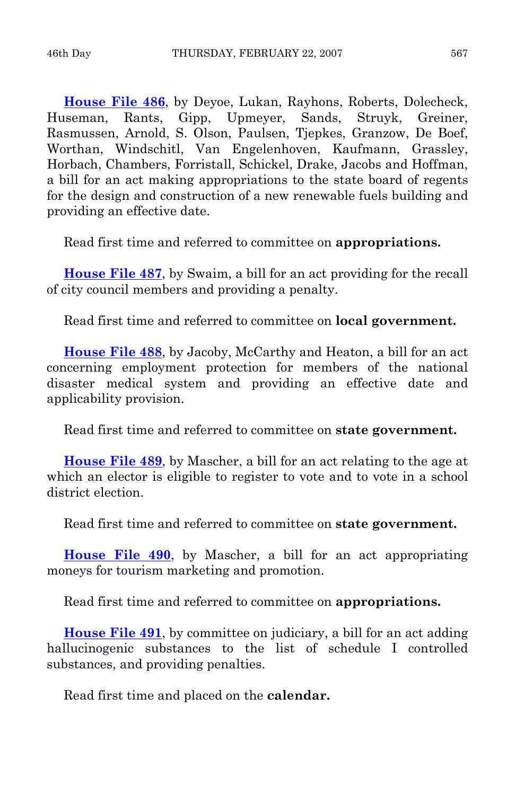**[House File 486](http://coolice.legis.state.ia.us/Cool-ICE/default.asp?Category=billinfo&Service=Billbook&frame=1&GA=82&hbill=HF486)**, by Deyoe, Lukan, Rayhons, Roberts, Dolecheck, Huseman, Rants, Gipp, Upmeyer, Sands, Struyk, Greiner, Rasmussen, Arnold, S. Olson, Paulsen, Tjepkes, Granzow, De Boef, Worthan, Windschitl, Van Engelenhoven, Kaufmann, Grassley, Horbach, Chambers, Forristall, Schickel, Drake, Jacobs and Hoffman, a bill for an act making appropriations to the state board of regents for the design and construction of a new renewable fuels building and providing an effective date.

Read first time and referred to committee on **appropriations.** 

**[House File 487](http://coolice.legis.state.ia.us/Cool-ICE/default.asp?Category=billinfo&Service=Billbook&frame=1&GA=82&hbill=HF487)**, by Swaim, a bill for an act providing for the recall of city council members and providing a penalty.

Read first time and referred to committee on **local government.** 

**[House File 488](http://coolice.legis.state.ia.us/Cool-ICE/default.asp?Category=billinfo&Service=Billbook&frame=1&GA=82&hbill=HF488)**, by Jacoby, McCarthy and Heaton, a bill for an act concerning employment protection for members of the national disaster medical system and providing an effective date and applicability provision.

Read first time and referred to committee on **state government.** 

**[House File 489](http://coolice.legis.state.ia.us/Cool-ICE/default.asp?Category=billinfo&Service=Billbook&frame=1&GA=82&hbill=HF489)**, by Mascher, a bill for an act relating to the age at which an elector is eligible to register to vote and to vote in a school district election.

Read first time and referred to committee on **state government.** 

**[House File 490](http://coolice.legis.state.ia.us/Cool-ICE/default.asp?Category=billinfo&Service=Billbook&frame=1&GA=82&hbill=HF490)**, by Mascher, a bill for an act appropriating moneys for tourism marketing and promotion.

Read first time and referred to committee on **appropriations.** 

**[House File 491](http://coolice.legis.state.ia.us/Cool-ICE/default.asp?Category=billinfo&Service=Billbook&frame=1&GA=82&hbill=HF491)**, by committee on judiciary, a bill for an act adding hallucinogenic substances to the list of schedule I controlled substances, and providing penalties.

Read first time and placed on the **calendar.**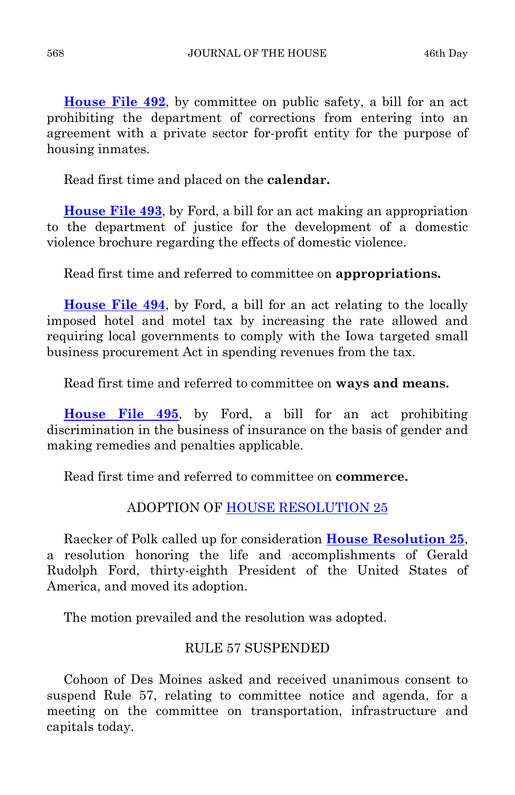**[House File 492](http://coolice.legis.state.ia.us/Cool-ICE/default.asp?Category=billinfo&Service=Billbook&frame=1&GA=82&hbill=HF492)**, by committee on public safety, a bill for an act prohibiting the department of corrections from entering into an agreement with a private sector for-profit entity for the purpose of housing inmates.

Read first time and placed on the **calendar.** 

**[House File 493](http://coolice.legis.state.ia.us/Cool-ICE/default.asp?Category=billinfo&Service=Billbook&frame=1&GA=82&hbill=HF493)**, by Ford, a bill for an act making an appropriation to the department of justice for the development of a domestic violence brochure regarding the effects of domestic violence.

Read first time and referred to committee on **appropriations.** 

**[House File 494](http://coolice.legis.state.ia.us/Cool-ICE/default.asp?Category=billinfo&Service=Billbook&frame=1&GA=82&hbill=HF494)**, by Ford, a bill for an act relating to the locally imposed hotel and motel tax by increasing the rate allowed and requiring local governments to comply with the Iowa targeted small business procurement Act in spending revenues from the tax.

Read first time and referred to committee on **ways and means.** 

**[House File 495](http://coolice.legis.state.ia.us/Cool-ICE/default.asp?Category=billinfo&Service=Billbook&frame=1&GA=82&hbill=HF495)**, by Ford, a bill for an act prohibiting discrimination in the business of insurance on the basis of gender and making remedies and penalties applicable.

Read first time and referred to committee on **commerce.** 

# ADOPTION OF [HOUSE RESOLUTION 25](http://coolice.legis.state.ia.us/Cool-ICE/default.asp?Category=billinfo&Service=Billbook&frame=1&GA=82&hbill=HR25)

 Raecker of Polk called up for consideration **[House Resolution 25](http://coolice.legis.state.ia.us/Cool-ICE/default.asp?Category=billinfo&Service=Billbook&frame=1&GA=82&hbill=HR25)**, a resolution honoring the life and accomplishments of Gerald Rudolph Ford, thirty-eighth President of the United States of America, and moved its adoption.

The motion prevailed and the resolution was adopted.

# RULE 57 SUSPENDED

 Cohoon of Des Moines asked and received unanimous consent to suspend Rule 57, relating to committee notice and agenda, for a meeting on the committee on transportation, infrastructure and capitals today.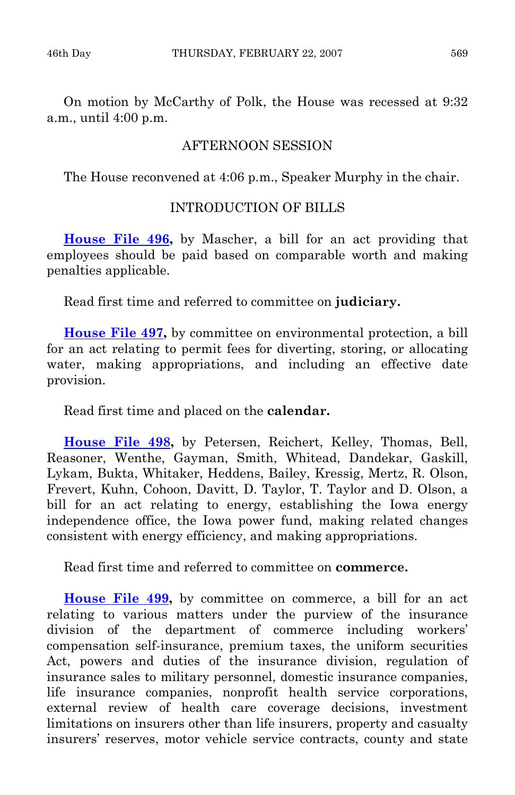On motion by McCarthy of Polk, the House was recessed at 9:32 a.m., until 4:00 p.m.

# AFTERNOON SESSION

The House reconvened at 4:06 p.m., Speaker Murphy in the chair.

# INTRODUCTION OF BILLS

**[House File 496](http://coolice.legis.state.ia.us/Cool-ICE/default.asp?Category=billinfo&Service=Billbook&frame=1&GA=82&hbill=HF496),** by Mascher, a bill for an act providing that employees should be paid based on comparable worth and making penalties applicable.

Read first time and referred to committee on **judiciary.** 

**[House File 497,](http://coolice.legis.state.ia.us/Cool-ICE/default.asp?Category=billinfo&Service=Billbook&frame=1&GA=82&hbill=HF497)** by committee on environmental protection, a bill for an act relating to permit fees for diverting, storing, or allocating water, making appropriations, and including an effective date provision.

Read first time and placed on the **calendar.** 

**[House File 498](http://coolice.legis.state.ia.us/Cool-ICE/default.asp?Category=billinfo&Service=Billbook&frame=1&GA=82&hbill=HF498),** by Petersen, Reichert, Kelley, Thomas, Bell, Reasoner, Wenthe, Gayman, Smith, Whitead, Dandekar, Gaskill, Lykam, Bukta, Whitaker, Heddens, Bailey, Kressig, Mertz, R. Olson, Frevert, Kuhn, Cohoon, Davitt, D. Taylor, T. Taylor and D. Olson, a bill for an act relating to energy, establishing the Iowa energy independence office, the Iowa power fund, making related changes consistent with energy efficiency, and making appropriations.

Read first time and referred to committee on **commerce.** 

**[House File 499,](http://coolice.legis.state.ia.us/Cool-ICE/default.asp?Category=billinfo&Service=Billbook&frame=1&GA=82&hbill=HF499)** by committee on commerce, a bill for an act relating to various matters under the purview of the insurance division of the department of commerce including workers' compensation self-insurance, premium taxes, the uniform securities Act, powers and duties of the insurance division, regulation of insurance sales to military personnel, domestic insurance companies, life insurance companies, nonprofit health service corporations, external review of health care coverage decisions, investment limitations on insurers other than life insurers, property and casualty insurers' reserves, motor vehicle service contracts, county and state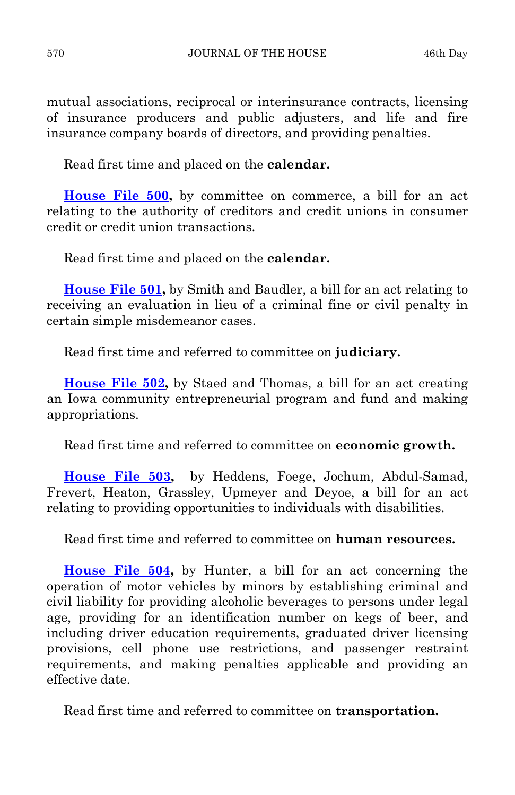mutual associations, reciprocal or interinsurance contracts, licensing of insurance producers and public adjusters, and life and fire insurance company boards of directors, and providing penalties.

Read first time and placed on the **calendar.** 

**[House File 500,](http://coolice.legis.state.ia.us/Cool-ICE/default.asp?Category=billinfo&Service=Billbook&frame=1&GA=82&hbill=HF500)** by committee on commerce, a bill for an act relating to the authority of creditors and credit unions in consumer credit or credit union transactions.

Read first time and placed on the **calendar.** 

**[House File 501,](http://coolice.legis.state.ia.us/Cool-ICE/default.asp?Category=billinfo&Service=Billbook&frame=1&GA=82&hbill=HF501)** by Smith and Baudler, a bill for an act relating to receiving an evaluation in lieu of a criminal fine or civil penalty in certain simple misdemeanor cases.

Read first time and referred to committee on **judiciary.** 

**[House File 502,](http://coolice.legis.state.ia.us/Cool-ICE/default.asp?Category=billinfo&Service=Billbook&frame=1&GA=82&hbill=HF502)** by Staed and Thomas, a bill for an act creating an Iowa community entrepreneurial program and fund and making appropriations.

Read first time and referred to committee on **economic growth.** 

**[House File 503](http://coolice.legis.state.ia.us/Cool-ICE/default.asp?Category=billinfo&Service=Billbook&frame=1&GA=82&hbill=HF503),** by Heddens, Foege, Jochum, Abdul-Samad, Frevert, Heaton, Grassley, Upmeyer and Deyoe, a bill for an act relating to providing opportunities to individuals with disabilities.

Read first time and referred to committee on **human resources.** 

**[House File 504](http://coolice.legis.state.ia.us/Cool-ICE/default.asp?Category=billinfo&Service=Billbook&frame=1&GA=82&hbill=HF504),** by Hunter, a bill for an act concerning the operation of motor vehicles by minors by establishing criminal and civil liability for providing alcoholic beverages to persons under legal age, providing for an identification number on kegs of beer, and including driver education requirements, graduated driver licensing provisions, cell phone use restrictions, and passenger restraint requirements, and making penalties applicable and providing an effective date.

Read first time and referred to committee on **transportation.**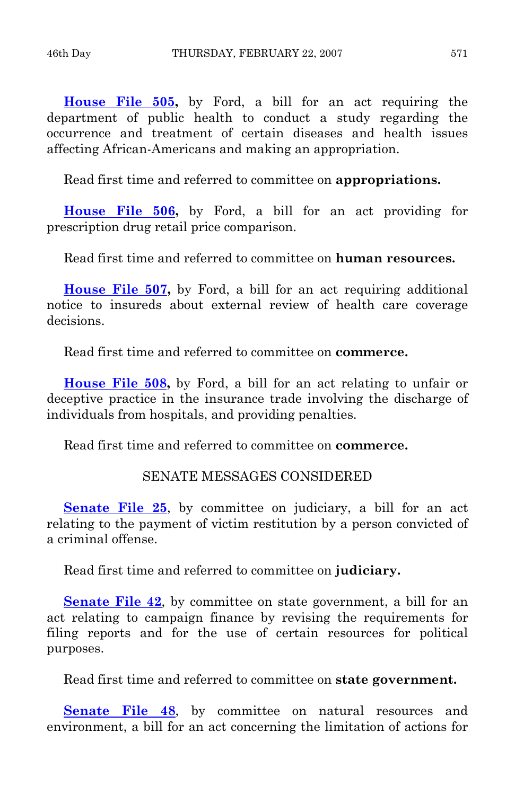**[House File 505,](http://coolice.legis.state.ia.us/Cool-ICE/default.asp?Category=billinfo&Service=Billbook&frame=1&GA=82&hbill=HF505)** by Ford, a bill for an act requiring the department of public health to conduct a study regarding the occurrence and treatment of certain diseases and health issues affecting African-Americans and making an appropriation.

Read first time and referred to committee on **appropriations.** 

**[House File 506,](http://coolice.legis.state.ia.us/Cool-ICE/default.asp?Category=billinfo&Service=Billbook&frame=1&GA=82&hbill=HF506)** by Ford, a bill for an act providing for prescription drug retail price comparison.

Read first time and referred to committee on **human resources.** 

**[House File 507,](http://coolice.legis.state.ia.us/Cool-ICE/default.asp?Category=billinfo&Service=Billbook&frame=1&GA=82&hbill=HF507)** by Ford, a bill for an act requiring additional notice to insureds about external review of health care coverage decisions.

Read first time and referred to committee on **commerce.** 

**[House File 508](http://coolice.legis.state.ia.us/Cool-ICE/default.asp?Category=billinfo&Service=Billbook&frame=1&GA=82&hbill=HF508),** by Ford, a bill for an act relating to unfair or deceptive practice in the insurance trade involving the discharge of individuals from hospitals, and providing penalties.

Read first time and referred to committee on **commerce.** 

# SENATE MESSAGES CONSIDERED

**[Senate File 25](http://coolice.legis.state.ia.us/Cool-ICE/default.asp?Category=billinfo&Service=Billbook&frame=1&GA=82&hbill=SF25)**, by committee on judiciary, a bill for an act relating to the payment of victim restitution by a person convicted of a criminal offense.

Read first time and referred to committee on **judiciary.** 

**[Senate File 42](http://coolice.legis.state.ia.us/Cool-ICE/default.asp?Category=billinfo&Service=Billbook&frame=1&GA=82&hbill=SF42),** by committee on state government, a bill for an act relating to campaign finance by revising the requirements for filing reports and for the use of certain resources for political purposes.

Read first time and referred to committee on **state government.** 

**[Senate File 48](http://coolice.legis.state.ia.us/Cool-ICE/default.asp?Category=billinfo&Service=Billbook&frame=1&GA=82&hbill=SF48)**, by committee on natural resources and environment, a bill for an act concerning the limitation of actions for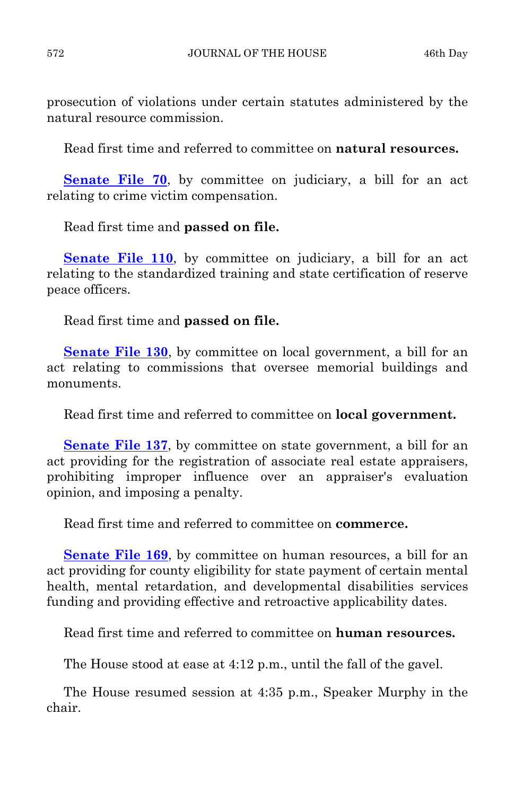prosecution of violations under certain statutes administered by the natural resource commission.

Read first time and referred to committee on **natural resources.** 

**[Senate File 70](http://coolice.legis.state.ia.us/Cool-ICE/default.asp?Category=billinfo&Service=Billbook&frame=1&GA=82&hbill=SF70)**, by committee on judiciary, a bill for an act relating to crime victim compensation.

Read first time and **passed on file.** 

**[Senate File 110](http://coolice.legis.state.ia.us/Cool-ICE/default.asp?Category=billinfo&Service=Billbook&frame=1&GA=82&hbill=SF110), by committee on judiciary, a bill for an act** relating to the standardized training and state certification of reserve peace officers.

Read first time and **passed on file.** 

**[Senate File 130](http://coolice.legis.state.ia.us/Cool-ICE/default.asp?Category=billinfo&Service=Billbook&frame=1&GA=82&hbill=SF130)**, by committee on local government, a bill for an act relating to commissions that oversee memorial buildings and monuments.

Read first time and referred to committee on **local government.** 

**[Senate File 137](http://coolice.legis.state.ia.us/Cool-ICE/default.asp?Category=billinfo&Service=Billbook&frame=1&GA=82&hbill=SF137),** by committee on state government, a bill for an act providing for the registration of associate real estate appraisers, prohibiting improper influence over an appraiser's evaluation opinion, and imposing a penalty.

Read first time and referred to committee on **commerce.** 

**[Senate File 169](http://coolice.legis.state.ia.us/Cool-ICE/default.asp?Category=billinfo&Service=Billbook&frame=1&GA=82&hbill=SF169)**, by committee on human resources, a bill for an act providing for county eligibility for state payment of certain mental health, mental retardation, and developmental disabilities services funding and providing effective and retroactive applicability dates.

Read first time and referred to committee on **human resources.** 

The House stood at ease at 4:12 p.m., until the fall of the gavel.

 The House resumed session at 4:35 p.m., Speaker Murphy in the chair.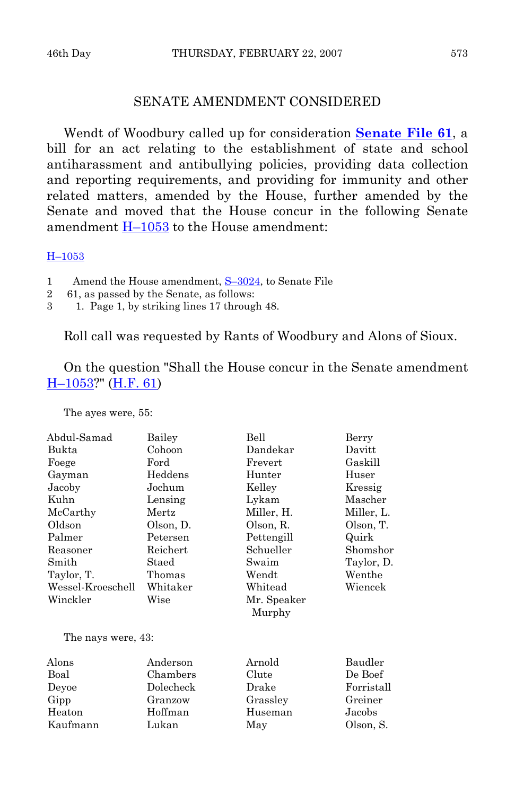# SENATE AMENDMENT CONSIDERED

 Wendt of Woodbury called up for consideration **[Senate File 61](http://coolice.legis.state.ia.us/Cool-ICE/default.asp?Category=billinfo&Service=Billbook&frame=1&GA=82&hbill=SF61)**, a bill for an act relating to the establishment of state and school antiharassment and antibullying policies, providing data collection and reporting requirements, and providing for immunity and other related matters, amended by the House, further amended by the Senate and moved that the House concur in the following Senate amendment [H–1053](http://coolice.legis.state.ia.us/Cool-ICE/default.asp?Category=billinfo&Service=Billbook&frame=1&GA=82&hbill=H1053) to the House amendment:

[H–1053](http://coolice.legis.state.ia.us/Cool-ICE/default.asp?Category=billinfo&Service=Billbook&frame=1&GA=82&hbill=H1053)

- 1 Amend the House amendment,  $S-3024$ , to Senate File
- 2 61, as passed by the Senate, as follows:
- 3 1. Page 1, by striking lines 17 through 48.

Roll call was requested by Rants of Woodbury and Alons of Sioux.

 On the question "Shall the House concur in the Senate amendment [H–1053](http://coolice.legis.state.ia.us/Cool-ICE/default.asp?Category=billinfo&Service=Billbook&frame=1&GA=82&hbill=H1053)?" ([H.F. 61](http://coolice.legis.state.ia.us/Cool-ICE/default.asp?Category=billinfo&Service=Billbook&frame=1&GA=82&hbill=HF61))

The ayes were, 55:

| Abdul-Samad        | Bailey     | Bell                    | Berry      |
|--------------------|------------|-------------------------|------------|
| Bukta              | Cohoon     | Dandekar                | Davitt     |
| Foege              | $\rm Ford$ | Frevert                 | Gaskill    |
| Gayman             | Heddens    | Hunter                  | Huser      |
| Jacoby             | Jochum     | Kelley                  | Kressig    |
| Kuhn               | Lensing    | Lykam                   | Mascher    |
| McCarthy           | Mertz      | Miller, H.              | Miller, L. |
| Oldson             | Olson, D.  | Olson, R.               | Olson, T.  |
| Palmer             | Petersen   | Pettengill              | Quirk      |
| Reasoner           | Reichert   | Schueller               | Shomshor   |
| Smith              | Staed      | Swaim                   | Taylor, D. |
| Taylor, T.         | Thomas     | $\operatorname*{Wendt}$ | Wenthe     |
| Wessel-Kroeschell  | Whitaker   | Whitead                 | Wiencek    |
| Winckler           | Wise       | Mr. Speaker<br>Murphy   |            |
| The nays were, 43: |            |                         |            |
| Alons              | Anderson   | Arnold                  | Baudler    |
| Boal               | Chambers   | Clute                   | De Boef    |
| Deyoe              | Dolecheck  | Drake                   | Forristall |
| Gipp               | Granzow    | Grassley                | Greiner    |
| Heaton             | Hoffman    | Huseman                 | Jacobs     |
| Kaufmann           | Lukan      | May                     | Olson, S.  |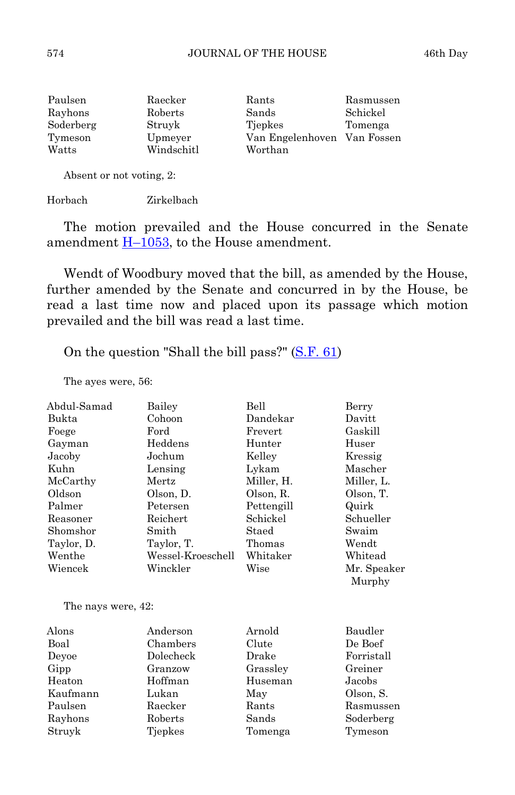| Paulsen   | Raecker    | Rants                       | Rasmussen |
|-----------|------------|-----------------------------|-----------|
| Rayhons   | Roberts    | Sands                       | Schickel  |
| Soderberg | Struyk     | Tiepkes                     | Tomenga   |
| Tymeson   | Upmeyer    | Van Engelenhoven Van Fossen |           |
| Watts     | Windschitl | Worthan                     |           |
|           |            |                             |           |

Absent or not voting, 2:

Horbach Zirkelbach

 The motion prevailed and the House concurred in the Senate amendment  $\underline{H-1053}$ , to the House amendment.

 Wendt of Woodbury moved that the bill, as amended by the House, further amended by the Senate and concurred in by the House, be read a last time now and placed upon its passage which motion prevailed and the bill was read a last time.

On the question "Shall the bill pass?" [\(S.F. 61](http://coolice.legis.state.ia.us/Cool-ICE/default.asp?Category=billinfo&Service=Billbook&frame=1&GA=82&hbill=SF61))

The ayes were, 56:

| Abdul-Samad  | Bailey            | Bell       | Berry                 |
|--------------|-------------------|------------|-----------------------|
| Bukta        | Cohoon            | Dandekar   | Davitt                |
| Foege        | Ford              | Frevert    | Gaskill               |
| Gayman       | Heddens           | Hunter     | Huser                 |
| Jacoby       | Jochum            | Kelley     | Kressig               |
| Kuhn         | Lensing           | Lykam      | Mascher               |
| McCarthy     | Mertz             | Miller, H. | Miller, L.            |
| Oldson       | Olson, D.         | Olson, R.  | Olson, T.             |
| Palmer       | Petersen          | Pettengill | Quirk                 |
| Reasoner     | Reichert          | Schickel   | Schueller             |
| Shomshor     | Smith             | Staed      | Swaim                 |
| Taylor, D.   | Taylor, T.        | Thomas     | Wendt                 |
| Wenthe       | Wessel-Kroeschell | Whitaker   | Whitead               |
| Wiencek      | Winckler          | Wise       | Mr. Speaker<br>Murphy |
| $\mathbf{m}$ | $\sqrt{2}$        |            |                       |

The nays were, 42:

| Alons    | Anderson  | Arnold   | Baudler    |
|----------|-----------|----------|------------|
| Boal     | Chambers  | Clute    | De Boef    |
| Devoe    | Dolecheck | Drake    | Forristall |
| Gipp     | Granzow   | Grassley | Greiner    |
| Heaton   | Hoffman   | Huseman  | Jacobs     |
| Kaufmann | Lukan     | May      | Olson, S.  |
| Paulsen  | Raecker   | Rants    | Rasmussen  |
| Rayhons  | Roberts   | Sands    | Soderberg  |
| Struyk   | Tjepkes   | Tomenga  | Tymeson    |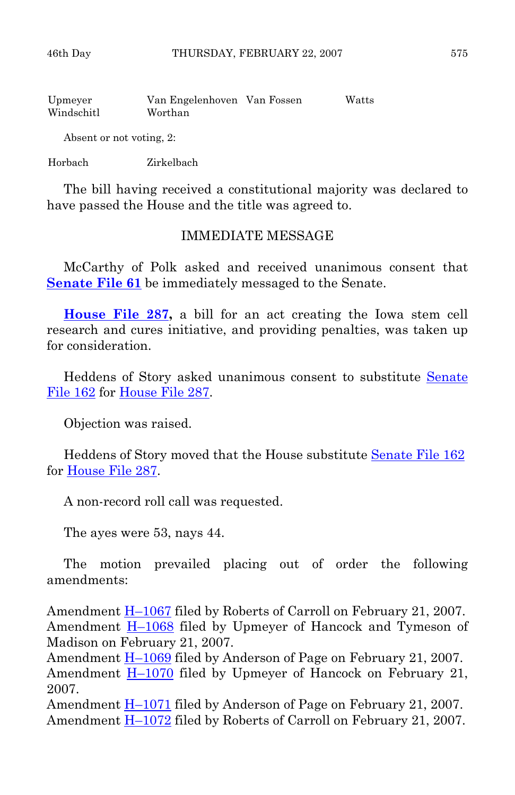| Upmeyer    | Van Engelenhoven Van Fossen | Watts |
|------------|-----------------------------|-------|
| Windschitl | Worthan                     |       |

Absent or not voting, 2:

Horbach Zirkelbach

 The bill having received a constitutional majority was declared to have passed the House and the title was agreed to.

# IMMEDIATE MESSAGE

 McCarthy of Polk asked and received unanimous consent that **[Senate File 61](http://coolice.legis.state.ia.us/Cool-ICE/default.asp?Category=billinfo&Service=Billbook&frame=1&GA=82&hbill=SF61)** be immediately messaged to the Senate.

**[House File 287,](http://coolice.legis.state.ia.us/Cool-ICE/default.asp?Category=billinfo&Service=Billbook&frame=1&GA=82&hbill=HF287)** a bill for an act creating the Iowa stem cell research and cures initiative, and providing penalties, was taken up for consideration.

Heddens of Story asked unanimous consent to substitute Senate [File 162](http://coolice.legis.state.ia.us/Cool-ICE/default.asp?Category=billinfo&Service=Billbook&frame=1&GA=82&hbill=SF162) for [House File 287.](http://coolice.legis.state.ia.us/Cool-ICE/default.asp?Category=billinfo&Service=Billbook&frame=1&GA=82&hbill=HF287)

Objection was raised.

 Heddens of Story moved that the House substitute [Senate File 162](http://coolice.legis.state.ia.us/Cool-ICE/default.asp?Category=billinfo&Service=Billbook&frame=1&GA=82&hbill=SF162) for [House File 287.](http://coolice.legis.state.ia.us/Cool-ICE/default.asp?Category=billinfo&Service=Billbook&frame=1&GA=82&hbill=HF287)

A non-record roll call was requested.

The ayes were 53, nays 44.

 The motion prevailed placing out of order the following amendments:

Amendment [H–1067](http://coolice.legis.state.ia.us/Cool-ICE/default.asp?Category=billinfo&Service=Billbook&frame=1&GA=82&hbill=H1067) filed by Roberts of Carroll on February 21, 2007. Amendment **H**-1068 filed by Upmeyer of Hancock and Tymeson of Madison on February 21, 2007.

Amendment [H–1069](http://coolice.legis.state.ia.us/Cool-ICE/default.asp?Category=billinfo&Service=Billbook&frame=1&GA=82&hbill=H1069) filed by Anderson of Page on February 21, 2007. Amendment [H–1070](http://coolice.legis.state.ia.us/Cool-ICE/default.asp?Category=billinfo&Service=Billbook&frame=1&GA=82&hbill=H1070) filed by Upmeyer of Hancock on February 21, 2007.

Amendment [H–1071](http://coolice.legis.state.ia.us/Cool-ICE/default.asp?Category=billinfo&Service=Billbook&frame=1&GA=82&hbill=H1071) filed by Anderson of Page on February 21, 2007. Amendment [H–1072](http://coolice.legis.state.ia.us/Cool-ICE/default.asp?Category=billinfo&Service=Billbook&frame=1&GA=82&hbill=H1072) filed by Roberts of Carroll on February 21, 2007.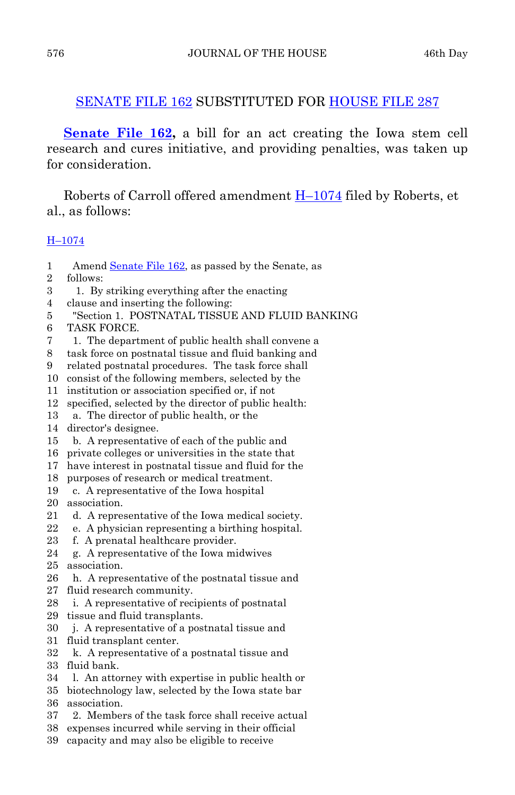# [SENATE FILE 162](http://coolice.legis.state.ia.us/Cool-ICE/default.asp?Category=billinfo&Service=Billbook&frame=1&GA=82&hbill=SF162) SUBSTITUTED FOR [HOUSE FILE 287](http://coolice.legis.state.ia.us/Cool-ICE/default.asp?Category=billinfo&Service=Billbook&frame=1&GA=82&hbill=HF287)

**[Senate File 162](http://coolice.legis.state.ia.us/Cool-ICE/default.asp?Category=billinfo&Service=Billbook&frame=1&GA=82&hbill=SF162),** a bill for an act creating the Iowa stem cell research and cures initiative, and providing penalties, was taken up for consideration.

 Roberts of Carroll offered amendment [H–1074](http://coolice.legis.state.ia.us/Cool-ICE/default.asp?Category=billinfo&Service=Billbook&frame=1&GA=82&hbill=H1074) filed by Roberts, et al., as follows:

# [H–1074](http://coolice.legis.state.ia.us/Cool-ICE/default.asp?Category=billinfo&Service=Billbook&frame=1&GA=82&hbill=H1074)

1 Amend [Senate File 162](http://coolice.legis.state.ia.us/Cool-ICE/default.asp?Category=billinfo&Service=Billbook&frame=1&GA=82&hbill=SF162), as passed by the Senate, as

2 follows:

- 3 1. By striking everything after the enacting
- 4 clause and inserting the following:
- 5 "Section 1. POSTNATAL TISSUE AND FLUID BANKING
- 6 TASK FORCE.
- 7 1. The department of public health shall convene a
- 8 task force on postnatal tissue and fluid banking and
- 9 related postnatal procedures. The task force shall
- 10 consist of the following members, selected by the
- 11 institution or association specified or, if not
- 12 specified, selected by the director of public health:
- 13 a. The director of public health, or the
- 14 director's designee.
- 15 b. A representative of each of the public and
- 16 private colleges or universities in the state that
- 17 have interest in postnatal tissue and fluid for the
- 18 purposes of research or medical treatment.
- 19 c. A representative of the Iowa hospital
- 20 association.
- 21 d. A representative of the Iowa medical society.
- 22 e. A physician representing a birthing hospital.
- 23 f. A prenatal healthcare provider.
- 24 g. A representative of the Iowa midwives
- 25 association.
- 26 h. A representative of the postnatal tissue and
- 27 fluid research community.
- 28 i. A representative of recipients of postnatal
- 29 tissue and fluid transplants.
- 30 j. A representative of a postnatal tissue and
- 31 fluid transplant center.
- 32 k. A representative of a postnatal tissue and 33 fluid bank.
- 34 l. An attorney with expertise in public health or
- 35 biotechnology law, selected by the Iowa state bar 36 association.
- 37 2. Members of the task force shall receive actual
- 38 expenses incurred while serving in their official
- 39 capacity and may also be eligible to receive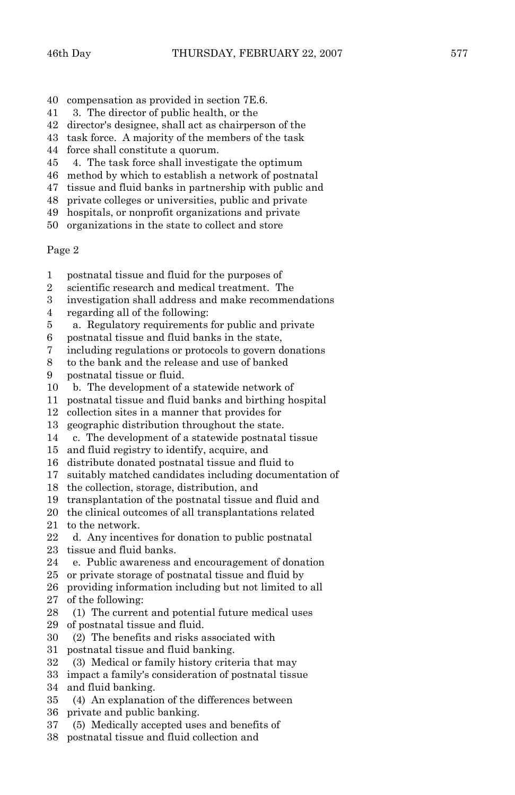- 40 compensation as provided in section 7E.6.
- 41 3. The director of public health, or the
- 42 director's designee, shall act as chairperson of the
- 43 task force. A majority of the members of the task
- 44 force shall constitute a quorum.
- 45 4. The task force shall investigate the optimum
- 46 method by which to establish a network of postnatal
- 47 tissue and fluid banks in partnership with public and
- 48 private colleges or universities, public and private
- 49 hospitals, or nonprofit organizations and private
- 50 organizations in the state to collect and store

#### Page 2

- 1 postnatal tissue and fluid for the purposes of
- 2 scientific research and medical treatment. The
- 3 investigation shall address and make recommendations
- 4 regarding all of the following:
- 5 a. Regulatory requirements for public and private
- 6 postnatal tissue and fluid banks in the state,
- 7 including regulations or protocols to govern donations
- 8 to the bank and the release and use of banked
- 9 postnatal tissue or fluid.
- 10 b. The development of a statewide network of
- 11 postnatal tissue and fluid banks and birthing hospital
- 12 collection sites in a manner that provides for
- 13 geographic distribution throughout the state.
- 14 c. The development of a statewide postnatal tissue
- 15 and fluid registry to identify, acquire, and
- 16 distribute donated postnatal tissue and fluid to
- 17 suitably matched candidates including documentation of
- 18 the collection, storage, distribution, and
- 19 transplantation of the postnatal tissue and fluid and
- 20 the clinical outcomes of all transplantations related
- 21 to the network.
- 22 d. Any incentives for donation to public postnatal 23 tissue and fluid banks.
- 24 e. Public awareness and encouragement of donation
- 25 or private storage of postnatal tissue and fluid by
- 26 providing information including but not limited to all
- 27 of the following:
- 28 (1) The current and potential future medical uses
- 29 of postnatal tissue and fluid.
- 30 (2) The benefits and risks associated with
- 31 postnatal tissue and fluid banking.
- 32 (3) Medical or family history criteria that may
- 33 impact a family's consideration of postnatal tissue
- 34 and fluid banking.
- 35 (4) An explanation of the differences between
- 36 private and public banking.
- 37 (5) Medically accepted uses and benefits of
- 38 postnatal tissue and fluid collection and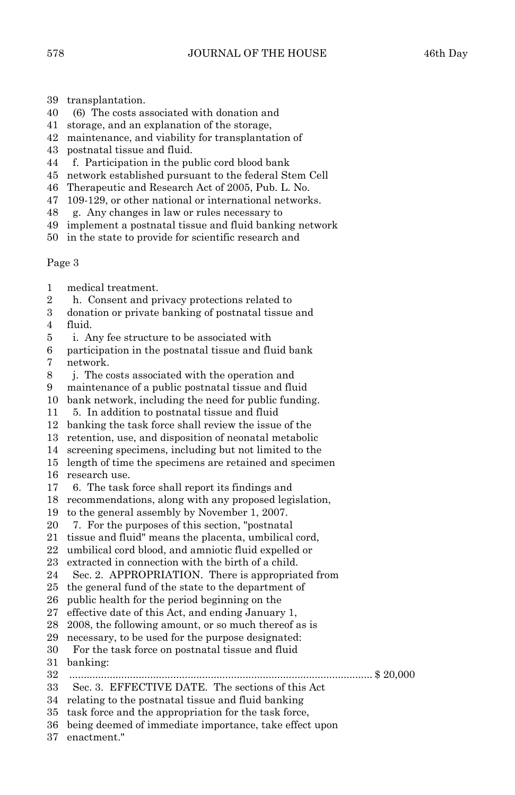- 39 transplantation.
- 40 (6) The costs associated with donation and
- 41 storage, and an explanation of the storage,
- 42 maintenance, and viability for transplantation of
- 43 postnatal tissue and fluid.
- 44 f. Participation in the public cord blood bank
- 45 network established pursuant to the federal Stem Cell
- 46 Therapeutic and Research Act of 2005, Pub. L. No.
- 47 109-129, or other national or international networks.
- 48 g. Any changes in law or rules necessary to
- 49 implement a postnatal tissue and fluid banking network
- 50 in the state to provide for scientific research and

Page 3

- 1 medical treatment.
- 2 h. Consent and privacy protections related to
- 3 donation or private banking of postnatal tissue and 4 fluid.
- 5 i. Any fee structure to be associated with
- 6 participation in the postnatal tissue and fluid bank 7 network.
- 8 j. The costs associated with the operation and
- 9 maintenance of a public postnatal tissue and fluid
- 10 bank network, including the need for public funding.
- 11 5. In addition to postnatal tissue and fluid
- 12 banking the task force shall review the issue of the
- 13 retention, use, and disposition of neonatal metabolic
- 14 screening specimens, including but not limited to the
- 15 length of time the specimens are retained and specimen
- 16 research use.
- 17 6. The task force shall report its findings and
- 18 recommendations, along with any proposed legislation,
- 19 to the general assembly by November 1, 2007.
- 20 7. For the purposes of this section, "postnatal
- 21 tissue and fluid" means the placenta, umbilical cord,
- 22 umbilical cord blood, and amniotic fluid expelled or
- 23 extracted in connection with the birth of a child.
- 24 Sec. 2. APPROPRIATION. There is appropriated from
- 25 the general fund of the state to the department of
- 26 public health for the period beginning on the
- 27 effective date of this Act, and ending January 1,
- 28 2008, the following amount, or so much thereof as is
- 29 necessary, to be used for the purpose designated:
- 30 For the task force on postnatal tissue and fluid
- 31 banking:
- 32 ......................................................................................................... \$ 20,000
- 33 Sec. 3. EFFECTIVE DATE. The sections of this Act
- 34 relating to the postnatal tissue and fluid banking
- 35 task force and the appropriation for the task force,
- 36 being deemed of immediate importance, take effect upon
- 37 enactment."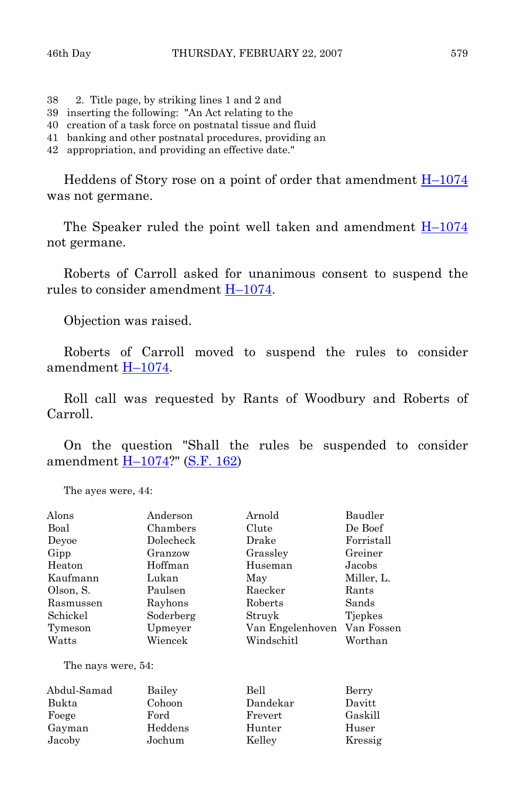- 38 2. Title page, by striking lines 1 and 2 and
- 39 inserting the following: "An Act relating to the
- 40 creation of a task force on postnatal tissue and fluid
- 41 banking and other postnatal procedures, providing an
- 42 appropriation, and providing an effective date."

Heddens of Story rose on a point of order that amendment  $H-1074$ was not germane.

 The Speaker ruled the point well taken and amendment [H–1074](http://coolice.legis.state.ia.us/Cool-ICE/default.asp?Category=billinfo&Service=Billbook&frame=1&GA=82&hbill=H1074) not germane.

 Roberts of Carroll asked for unanimous consent to suspend the rules to consider amendment [H–1074](http://coolice.legis.state.ia.us/Cool-ICE/default.asp?Category=billinfo&Service=Billbook&frame=1&GA=82&hbill=H1074).

Objection was raised.

 Roberts of Carroll moved to suspend the rules to consider amendment [H–1074](http://coolice.legis.state.ia.us/Cool-ICE/default.asp?Category=billinfo&Service=Billbook&frame=1&GA=82&hbill=H1074).

 Roll call was requested by Rants of Woodbury and Roberts of Carroll.

 On the question "Shall the rules be suspended to consider amendment **H**-1074?" ([S.F. 162\)](http://coolice.legis.state.ia.us/Cool-ICE/default.asp?Category=billinfo&Service=Billbook&frame=1&GA=82&hbill=SF162)

The ayes were, 44:

| Alons              | Anderson  | Arnold           | Baudler    |
|--------------------|-----------|------------------|------------|
| Boal               | Chambers  | Clute            | De Boef    |
| Devoe              | Dolecheck | Drake            | Forristall |
| Gipp               | Granzow   | Grassley         | Greiner    |
| Heaton             | Hoffman   | Huseman          | Jacobs     |
| Kaufmann           | Lukan     | May              | Miller, L. |
| Olson, S.          | Paulsen   | Raecker          | Rants      |
| Rasmussen          | Rayhons   | Roberts          | Sands      |
| Schickel           | Soderberg | Struyk           | Tiepkes    |
| Tymeson            | Upmeyer   | Van Engelenhoven | Van Fossen |
| Watts              | Wiencek   | Windschitl       | Worthan    |
| The nays were, 54: |           |                  |            |
| Abdul-Samad        | Bailey    | Bell             | Berry      |
| Bukta              | Cohoon    | Dandekar         | Davitt     |

 Foege Ford Frevert Gaskill Gayman Heddens Hunter Huser Jacoby Jochum Kelley Kressig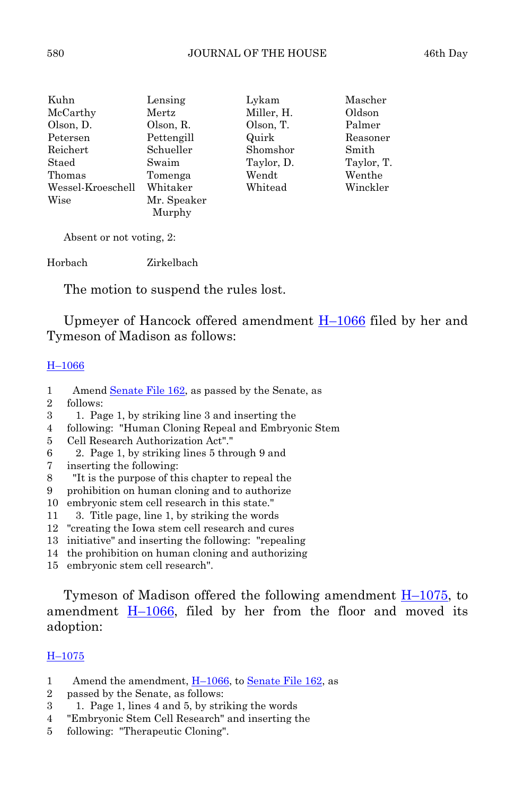| Kuhn              | Lensing     | Lykam      | Mascher    |
|-------------------|-------------|------------|------------|
| McCarthy          | Mertz       | Miller, H. | Oldson     |
| Olson, D.         | Olson, R.   | Olson, T.  | Palmer     |
| Petersen          | Pettengill  | Quirk      | Reasoner   |
| Reichert          | Schueller   | Shomshor   | Smith      |
| Staed             | Swaim       | Taylor, D. | Taylor, T. |
| Thomas            | Tomenga     | Wendt      | Wenthe     |
| Wessel-Kroeschell | Whitaker    | Whitead    | Winckler   |
| Wise              | Mr. Speaker |            |            |
|                   | Murphy      |            |            |

Absent or not voting, 2:

Horbach Zirkelbach

The motion to suspend the rules lost.

 Upmeyer of Hancock offered amendment [H–1066](http://coolice.legis.state.ia.us/Cool-ICE/default.asp?Category=billinfo&Service=Billbook&frame=1&GA=82&hbill=H1066) filed by her and Tymeson of Madison as follows:

## [H–1066](http://coolice.legis.state.ia.us/Cool-ICE/default.asp?Category=billinfo&Service=Billbook&frame=1&GA=82&hbill=H1066)

- 1 Amend [Senate File 162](http://coolice.legis.state.ia.us/Cool-ICE/default.asp?Category=billinfo&Service=Billbook&frame=1&GA=82&hbill=SF162), as passed by the Senate, as
- 2 follows:
- 3 1. Page 1, by striking line 3 and inserting the
- 4 following: "Human Cloning Repeal and Embryonic Stem
- 5 Cell Research Authorization Act"."
- 6 2. Page 1, by striking lines 5 through 9 and
- 7 inserting the following:
- 8 "It is the purpose of this chapter to repeal the
- 9 prohibition on human cloning and to authorize
- 10 embryonic stem cell research in this state."
- 11 3. Title page, line 1, by striking the words
- 12 "creating the Iowa stem cell research and cures
- 13 initiative" and inserting the following: "repealing
- 14 the prohibition on human cloning and authorizing
- 15 embryonic stem cell research".

Tymeson of Madison offered the following amendment  $H-1075$ , to amendment [H–1066,](http://coolice.legis.state.ia.us/Cool-ICE/default.asp?Category=billinfo&Service=Billbook&frame=1&GA=82&hbill=H1066) filed by her from the floor and moved its adoption:

# [H–1075](http://coolice.legis.state.ia.us/Cool-ICE/default.asp?Category=billinfo&Service=Billbook&frame=1&GA=82&hbill=H1075)

- 1 Amend the amendment, H-1066, to [Senate File 162,](http://coolice.legis.state.ia.us/Cool-ICE/default.asp?Category=billinfo&Service=Billbook&frame=1&GA=82&hbill=SF162) as
- 2 passed by the Senate, as follows:
- 3 1. Page 1, lines 4 and 5, by striking the words
- 4 "Embryonic Stem Cell Research" and inserting the
- 5 following: "Therapeutic Cloning".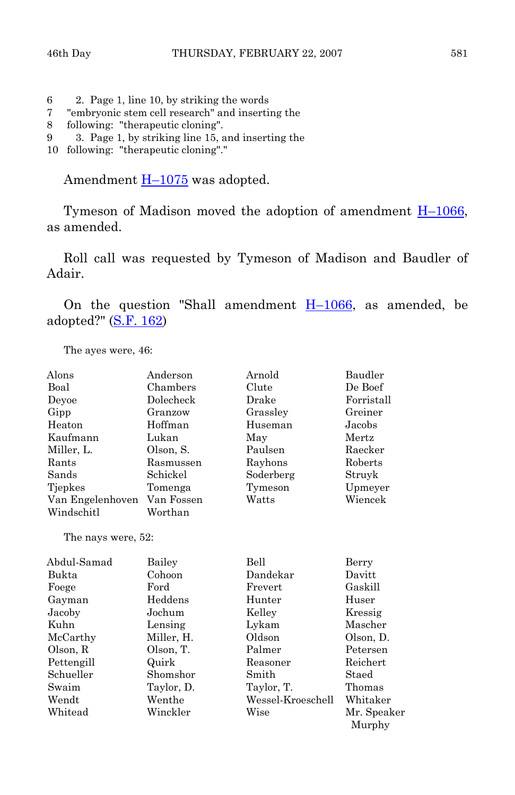- 6 2. Page 1, line 10, by striking the words
- 7 "embryonic stem cell research" and inserting the
- 8 following: "therapeutic cloning".
- 9 3. Page 1, by striking line 15, and inserting the
- 10 following: "therapeutic cloning"."

Amendment  $H-1075$  was adopted.

Tymeson of Madison moved the adoption of amendment  $H-1066$ , as amended.

 Roll call was requested by Tymeson of Madison and Baudler of Adair.

On the question "Shall amendment  $H-1066$ , as amended, be adopted?" [\(S.F. 162](http://coolice.legis.state.ia.us/Cool-ICE/default.asp?Category=billinfo&Service=Billbook&frame=1&GA=82&hbill=SF162))

The ayes were, 46:

| Alons              | Anderson   | Arnold            | Baudler     |
|--------------------|------------|-------------------|-------------|
| Boal               | Chambers   | Clute             | De Boef     |
| Deyoe              | Dolecheck  | Drake             | Forristall  |
| Gipp               | Granzow    | Grassley          | Greiner     |
| Heaton             | Hoffman    | Huseman           | Jacobs      |
| Kaufmann           | Lukan      | May               | Mertz       |
| Miller, L.         | Olson, S.  | Paulsen           | Raecker     |
| Rants              | Rasmussen  | Rayhons           | Roberts     |
| Sands              | Schickel   | Soderberg         | Struyk      |
| Tjepkes            | Tomenga    | Tymeson           | Upmeyer     |
| Van Engelenhoven   | Van Fossen | Watts             | Wiencek     |
| Windschitl         | Worthan    |                   |             |
| The nays were, 52: |            |                   |             |
| Abdul-Samad        | Bailey     | Bell              | Berry       |
| Bukta              | Cohoon     | Dandekar          | Davitt      |
| Foege              | Ford       | Frevert           | Gaskill     |
| Gayman             | Heddens    | Hunter            | Huser       |
| Jacoby             | Jochum     | Kelley            | Kressig     |
| Kuhn               | Lensing    | Lykam             | Mascher     |
| McCarthy           | Miller, H. | Oldson            | Olson, D.   |
| Olson, R           | Olson, T.  | Palmer            | Petersen    |
| Pettengill         | Quirk      | Reasoner          | Reichert    |
| Schueller          | Shomshor   | Smith             | Staed       |
| Swaim              | Taylor, D. | Taylor, T.        | Thomas      |
| Wendt              | Wenthe     | Wessel-Kroeschell | Whitaker    |
| Whitead            | Winckler   | Wise              | Mr. Speaker |
|                    |            |                   | Murphy      |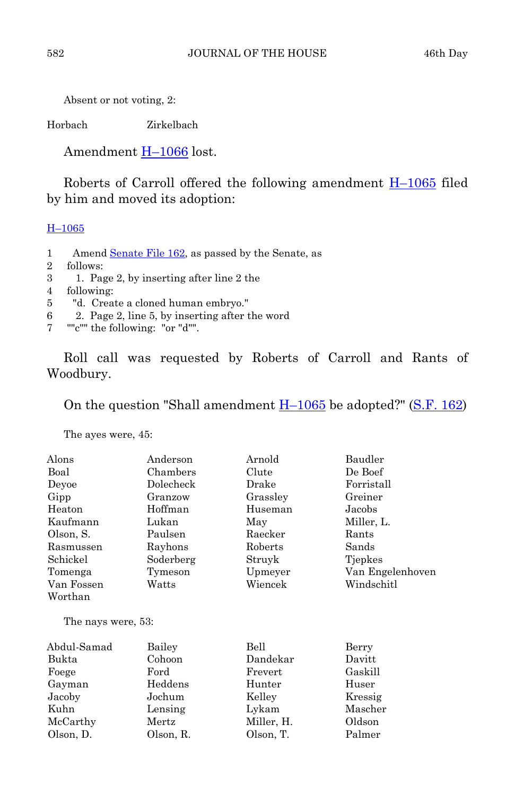Absent or not voting, 2:

Horbach Zirkelbach

Amendment [H–1066](http://coolice.legis.state.ia.us/Cool-ICE/default.asp?Category=billinfo&Service=Billbook&frame=1&GA=82&hbill=H1066) lost.

Roberts of Carroll offered the following amendment  $H-1065$  filed by him and moved its adoption:

# [H–1065](http://coolice.legis.state.ia.us/Cool-ICE/default.asp?Category=billinfo&Service=Billbook&frame=1&GA=82&hbill=H1065)

- 1 Amend [Senate File 162](http://coolice.legis.state.ia.us/Cool-ICE/default.asp?Category=billinfo&Service=Billbook&frame=1&GA=82&hbill=SF162), as passed by the Senate, as
- 2 follows:
- 3 1. Page 2, by inserting after line 2 the
- 4 following:
- 5 "d. Create a cloned human embryo."
- 6 2. Page 2, line 5, by inserting after the word
- 7 ""c"" the following: "or "d"".

 Roll call was requested by Roberts of Carroll and Rants of Woodbury.

On the question "Shall amendment  $H-1065$  be adopted?" ([S.F. 162\)](http://coolice.legis.state.ia.us/Cool-ICE/default.asp?Category=billinfo&Service=Billbook&frame=1&GA=82&hbill=SF162)

The ayes were, 45:

| Alons                 | Anderson  | Arnold   | Baudler          |
|-----------------------|-----------|----------|------------------|
| Boal                  | Chambers  | Clute    | De Boef          |
| Devoe                 | Dolecheck | Drake    | Forristall       |
| Gipp                  | Granzow   | Grassley | Greiner          |
| Heaton                | Hoffman   | Huseman  | Jacobs           |
| Kaufmann              | Lukan     | May      | Miller, L.       |
| Olson, S.             | Paulsen   | Raecker  | Rants            |
| Rasmussen             | Rayhons   | Roberts  | Sands            |
| Schickel              | Soderberg | Struyk   | Tiepkes          |
| Tomenga               | Tymeson   | Upmeyer  | Van Engelenhoven |
| Van Fossen<br>Worthan | Watts     | Wiencek  | Windschitl       |

The nays were, 53:

| Abdul-Samad | Bailey    | Bell       | Berry   |
|-------------|-----------|------------|---------|
| Bukta       | Cohoon    | Dandekar   | Davitt  |
| Foege       | Ford      | Frevert    | Gaskill |
| Gayman      | Heddens   | Hunter     | Huser   |
| Jacoby      | Jochum    | Kelley     | Kressig |
| Kuhn        | Lensing   | Lykam      | Mascher |
| McCarthy    | Mertz     | Miller, H. | Oldson  |
| Olson, D.   | Olson, R. | Olson, T.  | Palmer  |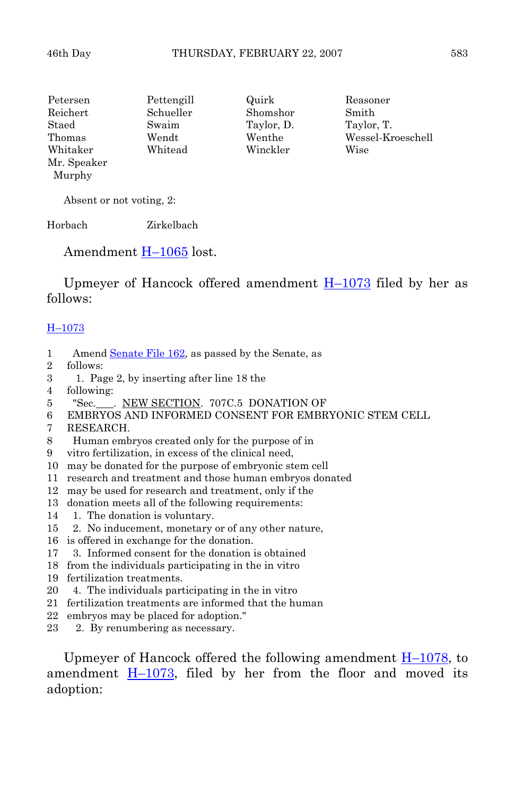Petersen Pettengill Quirk Reasoner Reichert Schueller Shomshor Smith Staed Swaim Taylor, D. Taylor, T. Thomas Wendt Wenthe Wessel-Kroeschell Whitaker Whitead Winckler Wise Mr. Speaker Murphy

Absent or not voting, 2:

Horbach Zirkelbach

Amendment [H–1065](http://coolice.legis.state.ia.us/Cool-ICE/default.asp?Category=billinfo&Service=Billbook&frame=1&GA=82&hbill=H1065) lost.

Upmeyer of Hancock offered amendment  $H-1073$  filed by her as follows:

# [H–1073](http://coolice.legis.state.ia.us/Cool-ICE/default.asp?Category=billinfo&Service=Billbook&frame=1&GA=82&hbill=H1073)

- 1 Amend [Senate File 162](http://coolice.legis.state.ia.us/Cool-ICE/default.asp?Category=billinfo&Service=Billbook&frame=1&GA=82&hbill=SF162), as passed by the Senate, as
- 2 follows:
- 3 1. Page 2, by inserting after line 18 the
- 4 following:
- 5 "Sec. . NEW SECTION. 707C.5 DONATION OF
- 6 EMBRYOS AND INFORMED CONSENT FOR EMBRYONIC STEM CELL
- 7 RESEARCH.
- 8 Human embryos created only for the purpose of in
- 9 vitro fertilization, in excess of the clinical need,
- 10 may be donated for the purpose of embryonic stem cell
- 11 research and treatment and those human embryos donated
- 12 may be used for research and treatment, only if the
- 13 donation meets all of the following requirements:
- 14 1. The donation is voluntary.
- 15 2. No inducement, monetary or of any other nature,
- 16 is offered in exchange for the donation.
- 17 3. Informed consent for the donation is obtained
- 18 from the individuals participating in the in vitro
- 19 fertilization treatments.
- 20 4. The individuals participating in the in vitro
- 21 fertilization treatments are informed that the human
- 22 embryos may be placed for adoption."
- 23 2. By renumbering as necessary.

Upmeyer of Hancock offered the following amendment  $H-1078$ , to amendment  $H-1073$ , filed by her from the floor and moved its adoption: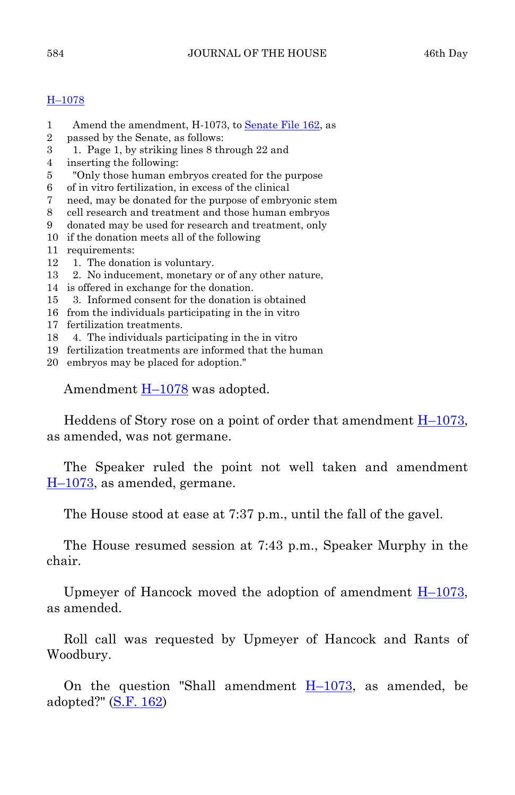# [H–1078](http://coolice.legis.state.ia.us/Cool-ICE/default.asp?Category=billinfo&Service=Billbook&frame=1&GA=82&hbill=H1078)

- 1 Amend the amendment, H-1073, to [Senate File 162,](http://coolice.legis.state.ia.us/Cool-ICE/default.asp?Category=billinfo&Service=Billbook&frame=1&GA=82&hbill=SF162) as
- 2 passed by the Senate, as follows:
- 3 1. Page 1, by striking lines 8 through 22 and
- 4 inserting the following:
- 5 "Only those human embryos created for the purpose
- 6 of in vitro fertilization, in excess of the clinical
- 7 need, may be donated for the purpose of embryonic stem
- 8 cell research and treatment and those human embryos
- 9 donated may be used for research and treatment, only
- 10 if the donation meets all of the following
- 11 requirements:
- 12 1. The donation is voluntary.
- 13 2. No inducement, monetary or of any other nature,
- 14 is offered in exchange for the donation.
- 15 3. Informed consent for the donation is obtained
- 16 from the individuals participating in the in vitro
- 17 fertilization treatments.
- 18 4. The individuals participating in the in vitro
- 19 fertilization treatments are informed that the human
- 20 embryos may be placed for adoption."

Amendment [H–1078](http://coolice.legis.state.ia.us/Cool-ICE/default.asp?Category=billinfo&Service=Billbook&frame=1&GA=82&hbill=H1078) was adopted.

 Heddens of Story rose on a point of order that amendment [H–1073](http://coolice.legis.state.ia.us/Cool-ICE/default.asp?Category=billinfo&Service=Billbook&frame=1&GA=82&hbill=H1073), as amended, was not germane.

 The Speaker ruled the point not well taken and amendment [H–1073](http://coolice.legis.state.ia.us/Cool-ICE/default.asp?Category=billinfo&Service=Billbook&frame=1&GA=82&hbill=H1073), as amended, germane.

The House stood at ease at 7:37 p.m., until the fall of the gavel.

 The House resumed session at 7:43 p.m., Speaker Murphy in the chair.

Upmeyer of Hancock moved the adoption of amendment  $H-1073$ , as amended.

 Roll call was requested by Upmeyer of Hancock and Rants of Woodbury.

On the question "Shall amendment  $H-1073$ , as amended, be adopted?" [\(S.F. 162](http://coolice.legis.state.ia.us/Cool-ICE/default.asp?Category=billinfo&Service=Billbook&frame=1&GA=82&hbill=SF162))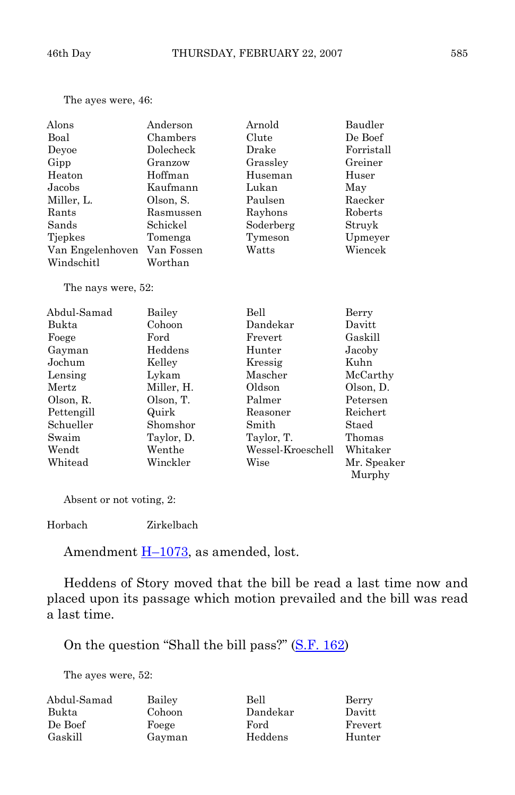The ayes were, 46:

| Alons              | Anderson   | Arnold            | Baudler     |
|--------------------|------------|-------------------|-------------|
| Boal               | Chambers   | Clute             | De Boef     |
| Deyoe              | Dolecheck  | Drake             | Forristall  |
| Gipp               | Granzow    | Grassley          | Greiner     |
| Heaton             | Hoffman    | Huseman           | Huser       |
| Jacobs             | Kaufmann   | Lukan             | May         |
| Miller, L.         | Olson, S.  | Paulsen           | Raecker     |
| Rants              | Rasmussen  | Rayhons           | Roberts     |
| Sands              | Schickel   | Soderberg         | Struyk      |
| Tjepkes            | Tomenga    | Tymeson           | Upmeyer     |
| Van Engelenhoven   | Van Fossen | Watts             | Wiencek     |
| Windschitl         | Worthan    |                   |             |
| The nays were, 52: |            |                   |             |
| Abdul-Samad        | Bailey     | <b>Bell</b>       | Berry       |
| Bukta              | Cohoon     | Dandekar          | Davitt      |
| Foege              | Ford       | Frevert           | Gaskill     |
| Gayman             | Heddens    | Hunter            | Jacoby      |
| Jochum             | Kelley     | Kressig           | Kuhn        |
| Lensing            | Lykam      | Mascher           | McCarthy    |
| Mertz              | Miller, H. | Oldson            | Olson, D.   |
| Olson, R.          | Olson, T.  | Palmer            | Petersen    |
| Pettengill         | Quirk      | Reasoner          | Reichert    |
| Schueller          | Shomshor   | Smith             | Staed       |
| Swaim              | Taylor, D. | Taylor, T.        | Thomas      |
| Wendt              | Wenthe     | Wessel-Kroeschell | Whitaker    |
| Whitead            | Winckler   | Wise              | Mr. Speaker |

Absent or not voting, 2:

Horbach Zirkelbach

Amendment  $H-1073$ , as amended, lost.

 Heddens of Story moved that the bill be read a last time now and placed upon its passage which motion prevailed and the bill was read a last time.

Murphy

On the question "Shall the bill pass?" [\(S.F. 162](http://coolice.legis.state.ia.us/Cool-ICE/default.asp?Category=billinfo&Service=Billbook&frame=1&GA=82&hbill=SF162))

The ayes were, 52:

| Abdul-Samad | Bailey | Bell     | Berry   |
|-------------|--------|----------|---------|
| Bukta       | Cohoon | Dandekar | Davitt  |
| De Boef     | Foege  | Ford     | Frevert |
| Gaskill     | Gavman | Heddens  | Hunter  |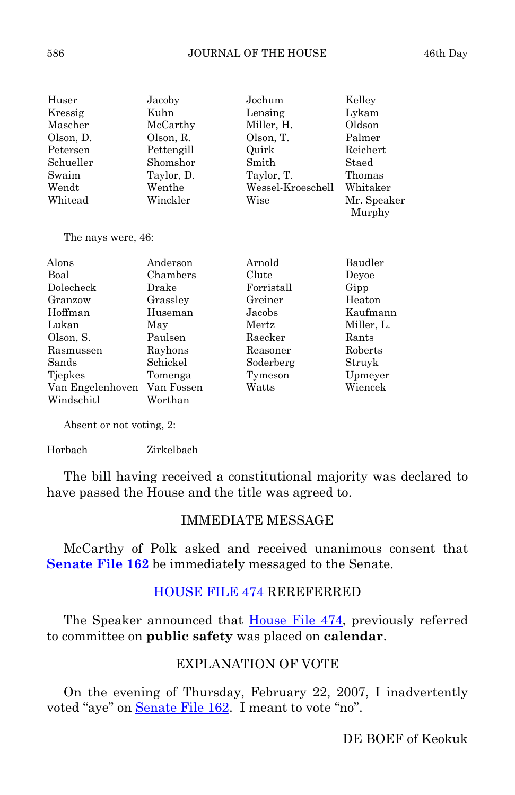| Huser<br>Kressig<br>Mascher<br>Olson, D.<br>Petersen<br>Schueller<br>Swaim<br>Wendt<br>Whitead | Jacoby<br>Kuhn<br>McCarthy<br>Olson, R.<br>Pettengill<br>Shomshor<br>Taylor, D.<br>Wenthe<br>Winckler | Jochum<br>Lensing<br>Miller, H.<br>Olson, T.<br>Quirk<br>Smith<br>Taylor, T.<br>Wessel-Kroeschell<br>Wise | Kelley<br>Lykam<br>Oldson<br>Palmer<br>Reichert<br>Staed<br>Thomas<br>Whitaker<br>Mr. Speaker<br>Murphy |
|------------------------------------------------------------------------------------------------|-------------------------------------------------------------------------------------------------------|-----------------------------------------------------------------------------------------------------------|---------------------------------------------------------------------------------------------------------|
| The nays were, 46:                                                                             |                                                                                                       |                                                                                                           |                                                                                                         |
| Alons                                                                                          | Anderson                                                                                              | Arnold                                                                                                    | Baudler                                                                                                 |
|                                                                                                |                                                                                                       |                                                                                                           |                                                                                                         |
| Boal                                                                                           | Chambers                                                                                              | Clute                                                                                                     | Devoe                                                                                                   |
| Dolecheck                                                                                      | Drake                                                                                                 | Forristall                                                                                                | Gipp                                                                                                    |
| Granzow                                                                                        | Grassley                                                                                              | Greiner                                                                                                   | Heaton                                                                                                  |
| Hoffman                                                                                        | Huseman                                                                                               | Jacobs                                                                                                    | Kaufmann                                                                                                |
| Lukan                                                                                          | May                                                                                                   | Mertz                                                                                                     | Miller, L.                                                                                              |
| Olson, S.                                                                                      | Paulsen                                                                                               | Raecker                                                                                                   | Rants                                                                                                   |
| Rasmussen                                                                                      | Rayhons                                                                                               | Reasoner                                                                                                  | Roberts                                                                                                 |
| Sands                                                                                          | Schickel                                                                                              | Soderberg                                                                                                 | Struyk                                                                                                  |

 Tjepkes Tomenga Tymeson Upmeyer Van Engelenhoven Van Fossen Watts Wiencek

Absent or not voting, 2:

Windschitl Worthan

# Horbach Zirkelbach

 The bill having received a constitutional majority was declared to have passed the House and the title was agreed to.

# IMMEDIATE MESSAGE

 McCarthy of Polk asked and received unanimous consent that **[Senate File 162](http://coolice.legis.state.ia.us/Cool-ICE/default.asp?Category=billinfo&Service=Billbook&frame=1&GA=82&hbill=SF162)** be immediately messaged to the Senate.

# [HOUSE FILE 474](http://coolice.legis.state.ia.us/Cool-ICE/default.asp?Category=billinfo&Service=Billbook&frame=1&GA=82&hbill=HF474) REREFERRED

The Speaker announced that [House File 474,](http://coolice.legis.state.ia.us/Cool-ICE/default.asp?Category=billinfo&Service=Billbook&frame=1&GA=82&hbill=HF474) previously referred to committee on **public safety** was placed on **calendar**.

# EXPLANATION OF VOTE

 On the evening of Thursday, February 22, 2007, I inadvertently voted "aye" on [Senate File 162](http://coolice.legis.state.ia.us/Cool-ICE/default.asp?Category=billinfo&Service=Billbook&frame=1&GA=82&hbill=SF162). I meant to vote "no".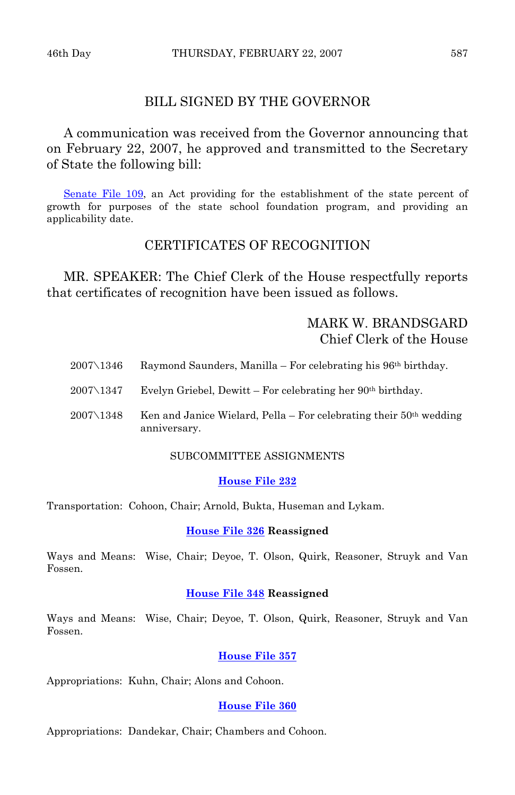# BILL SIGNED BY THE GOVERNOR

 A communication was received from the Governor announcing that on February 22, 2007, he approved and transmitted to the Secretary of State the following bill:

[Senate File 109](http://coolice.legis.state.ia.us/Cool-ICE/default.asp?Category=billinfo&Service=Billbook&frame=1&GA=82&hbill=SF109), an Act providing for the establishment of the state percent of growth for purposes of the state school foundation program, and providing an applicability date.

# CERTIFICATES OF RECOGNITION

MR. SPEAKER: The Chief Clerk of the House respectfully reports that certificates of recognition have been issued as follows.

# MARK W. BRANDSGARD Chief Clerk of the House

| $2007\backslash1346$ | Raymond Saunders, Manilla – For celebrating his $96th$ birthday.                     |
|----------------------|--------------------------------------------------------------------------------------|
| $2007\backslash1347$ | Evelyn Griebel, Dewitt – For celebrating her $90th$ birthday.                        |
| $2007\backslash1348$ | Ken and Janice Wielard, Pella – For celebrating their $50th$ wedding<br>anniversary. |

# SUBCOMMITTEE ASSIGNMENTS

## **[House File 232](http://coolice.legis.state.ia.us/Cool-ICE/default.asp?Category=billinfo&Service=Billbook&frame=1&GA=82&hbill=HF232)**

Transportation: Cohoon, Chair; Arnold, Bukta, Huseman and Lykam.

# **[House File 326](http://coolice.legis.state.ia.us/Cool-ICE/default.asp?Category=billinfo&Service=Billbook&frame=1&GA=82&hbill=HF326) Reassigned**

Ways and Means: Wise, Chair; Deyoe, T. Olson, Quirk, Reasoner, Struyk and Van Fossen.

#### **[House File 348](http://coolice.legis.state.ia.us/Cool-ICE/default.asp?Category=billinfo&Service=Billbook&frame=1&GA=82&hbill=HF348) Reassigned**

Ways and Means: Wise, Chair; Deyoe, T. Olson, Quirk, Reasoner, Struyk and Van Fossen.

#### **[House File 357](http://coolice.legis.state.ia.us/Cool-ICE/default.asp?Category=billinfo&Service=Billbook&frame=1&GA=82&hbill=HF357)**

Appropriations: Kuhn, Chair; Alons and Cohoon.

#### **[House File 360](http://coolice.legis.state.ia.us/Cool-ICE/default.asp?Category=billinfo&Service=Billbook&frame=1&GA=82&hbill=HF360)**

Appropriations: Dandekar, Chair; Chambers and Cohoon.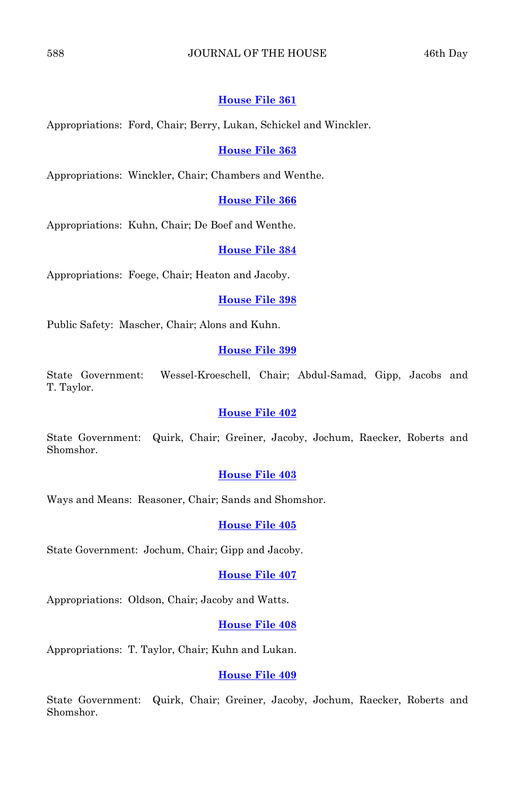# 588 JOURNAL OF THE HOUSE 46th Day

# **[House File 361](http://coolice.legis.state.ia.us/Cool-ICE/default.asp?Category=billinfo&Service=Billbook&frame=1&GA=82&hbill=HF361)**

Appropriations: Ford, Chair; Berry, Lukan, Schickel and Winckler.

#### **[House File 363](http://coolice.legis.state.ia.us/Cool-ICE/default.asp?Category=billinfo&Service=Billbook&frame=1&GA=82&hbill=HF363)**

Appropriations: Winckler, Chair; Chambers and Wenthe.

# **[House File 366](http://coolice.legis.state.ia.us/Cool-ICE/default.asp?Category=billinfo&Service=Billbook&frame=1&GA=82&hbill=HF366)**

Appropriations: Kuhn, Chair; De Boef and Wenthe.

# **[House File 384](http://coolice.legis.state.ia.us/Cool-ICE/default.asp?Category=billinfo&Service=Billbook&frame=1&GA=82&hbill=HF384)**

Appropriations: Foege, Chair; Heaton and Jacoby.

#### **[House File 398](http://coolice.legis.state.ia.us/Cool-ICE/default.asp?Category=billinfo&Service=Billbook&frame=1&GA=82&hbill=HF398)**

Public Safety: Mascher, Chair; Alons and Kuhn.

# **[House File 399](http://coolice.legis.state.ia.us/Cool-ICE/default.asp?Category=billinfo&Service=Billbook&frame=1&GA=82&hbill=HF399)**

State Government: Wessel-Kroeschell, Chair; Abdul-Samad, Gipp, Jacobs and T. Taylor.

# **[House File 402](http://coolice.legis.state.ia.us/Cool-ICE/default.asp?Category=billinfo&Service=Billbook&frame=1&GA=82&hbill=HF402)**

State Government: Quirk, Chair; Greiner, Jacoby, Jochum, Raecker, Roberts and Shomshor.

#### **[House File 403](http://coolice.legis.state.ia.us/Cool-ICE/default.asp?Category=billinfo&Service=Billbook&frame=1&GA=82&hbill=HF403)**

Ways and Means: Reasoner, Chair; Sands and Shomshor.

#### **[House File 405](http://coolice.legis.state.ia.us/Cool-ICE/default.asp?Category=billinfo&Service=Billbook&frame=1&GA=82&hbill=HF405)**

State Government: Jochum, Chair; Gipp and Jacoby.

#### **[House File 407](http://coolice.legis.state.ia.us/Cool-ICE/default.asp?Category=billinfo&Service=Billbook&frame=1&GA=82&hbill=HF407)**

Appropriations: Oldson, Chair; Jacoby and Watts.

#### **[House File 408](http://coolice.legis.state.ia.us/Cool-ICE/default.asp?Category=billinfo&Service=Billbook&frame=1&GA=82&hbill=HF408)**

Appropriations: T. Taylor, Chair; Kuhn and Lukan.

#### **[House File 409](http://coolice.legis.state.ia.us/Cool-ICE/default.asp?Category=billinfo&Service=Billbook&frame=1&GA=82&hbill=HF409)**

State Government: Quirk, Chair; Greiner, Jacoby, Jochum, Raecker, Roberts and Shomshor.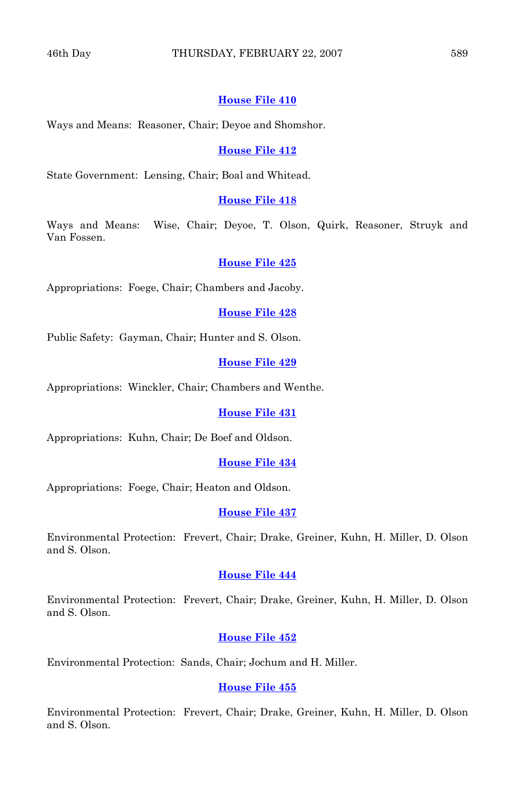# **[House File 410](http://coolice.legis.state.ia.us/Cool-ICE/default.asp?Category=billinfo&Service=Billbook&frame=1&GA=82&hbill=HF410)**

Ways and Means: Reasoner, Chair; Deyoe and Shomshor.

## **[House File 412](http://coolice.legis.state.ia.us/Cool-ICE/default.asp?Category=billinfo&Service=Billbook&frame=1&GA=82&hbill=HF412)**

State Government: Lensing, Chair; Boal and Whitead.

# **[House File 418](http://coolice.legis.state.ia.us/Cool-ICE/default.asp?Category=billinfo&Service=Billbook&frame=1&GA=82&hbill=HF418)**

Ways and Means: Wise, Chair; Deyoe, T. Olson, Quirk, Reasoner, Struyk and Van Fossen.

#### **[House File 425](http://coolice.legis.state.ia.us/Cool-ICE/default.asp?Category=billinfo&Service=Billbook&frame=1&GA=82&hbill=HF425)**

Appropriations: Foege, Chair; Chambers and Jacoby.

**[House File 428](http://coolice.legis.state.ia.us/Cool-ICE/default.asp?Category=billinfo&Service=Billbook&frame=1&GA=82&hbill=HF428)**

Public Safety: Gayman, Chair; Hunter and S. Olson.

#### **[House File 429](http://coolice.legis.state.ia.us/Cool-ICE/default.asp?Category=billinfo&Service=Billbook&frame=1&GA=82&hbill=HF429)**

Appropriations: Winckler, Chair; Chambers and Wenthe.

# **[House File 431](http://coolice.legis.state.ia.us/Cool-ICE/default.asp?Category=billinfo&Service=Billbook&frame=1&GA=82&hbill=HF431)**

Appropriations: Kuhn, Chair; De Boef and Oldson.

# **[House File 434](http://coolice.legis.state.ia.us/Cool-ICE/default.asp?Category=billinfo&Service=Billbook&frame=1&GA=82&hbill=HF434)**

Appropriations: Foege, Chair; Heaton and Oldson.

#### **[House File 437](http://coolice.legis.state.ia.us/Cool-ICE/default.asp?Category=billinfo&Service=Billbook&frame=1&GA=82&hbill=HF437)**

Environmental Protection: Frevert, Chair; Drake, Greiner, Kuhn, H. Miller, D. Olson and S. Olson.

#### **[House File 444](http://coolice.legis.state.ia.us/Cool-ICE/default.asp?Category=billinfo&Service=Billbook&frame=1&GA=82&hbill=HF444)**

Environmental Protection: Frevert, Chair; Drake, Greiner, Kuhn, H. Miller, D. Olson and S. Olson.

#### **[House File 452](http://coolice.legis.state.ia.us/Cool-ICE/default.asp?Category=billinfo&Service=Billbook&frame=1&GA=82&hbill=HF452)**

Environmental Protection: Sands, Chair; Jochum and H. Miller.

# **[House File 455](http://coolice.legis.state.ia.us/Cool-ICE/default.asp?Category=billinfo&Service=Billbook&frame=1&GA=82&hbill=HF455)**

Environmental Protection: Frevert, Chair; Drake, Greiner, Kuhn, H. Miller, D. Olson and S. Olson.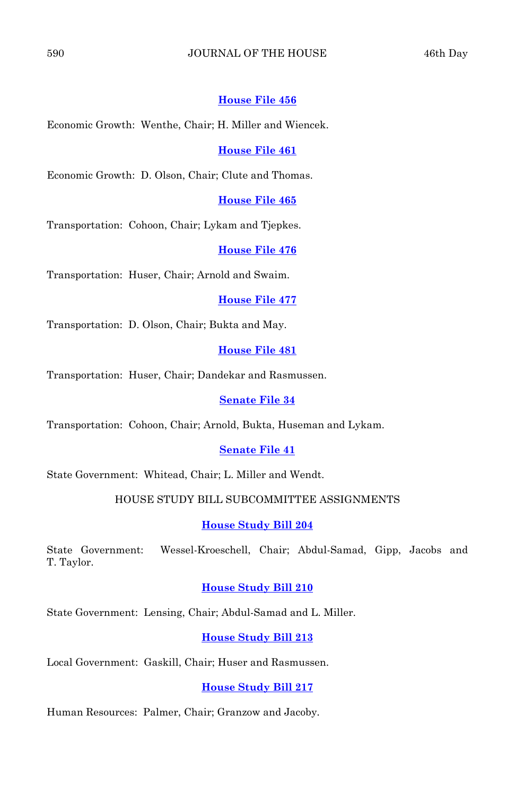# 590 JOURNAL OF THE HOUSE 46th Day

# **[House File 456](http://coolice.legis.state.ia.us/Cool-ICE/default.asp?Category=billinfo&Service=Billbook&frame=1&GA=82&hbill=HF456)**

Economic Growth: Wenthe, Chair; H. Miller and Wiencek.

#### **[House File 461](http://coolice.legis.state.ia.us/Cool-ICE/default.asp?Category=billinfo&Service=Billbook&frame=1&GA=82&hbill=HF461)**

Economic Growth: D. Olson, Chair; Clute and Thomas.

# **[House File 465](http://coolice.legis.state.ia.us/Cool-ICE/default.asp?Category=billinfo&Service=Billbook&frame=1&GA=82&hbill=HF465)**

Transportation: Cohoon, Chair; Lykam and Tjepkes.

#### **[House File 476](http://coolice.legis.state.ia.us/Cool-ICE/default.asp?Category=billinfo&Service=Billbook&frame=1&GA=82&hbill=HF476)**

Transportation: Huser, Chair; Arnold and Swaim.

## **[House File 477](http://coolice.legis.state.ia.us/Cool-ICE/default.asp?Category=billinfo&Service=Billbook&frame=1&GA=82&hbill=HF477)**

Transportation: D. Olson, Chair; Bukta and May.

# **[House File 481](http://coolice.legis.state.ia.us/Cool-ICE/default.asp?Category=billinfo&Service=Billbook&frame=1&GA=82&hbill=HF481)**

Transportation: Huser, Chair; Dandekar and Rasmussen.

# **[Senate File 34](http://coolice.legis.state.ia.us/Cool-ICE/default.asp?Category=billinfo&Service=Billbook&frame=1&GA=82&hbill=SF34)**

Transportation: Cohoon, Chair; Arnold, Bukta, Huseman and Lykam.

# **[Senate File 41](http://coolice.legis.state.ia.us/Cool-ICE/default.asp?Category=billinfo&Service=Billbook&frame=1&GA=82&hbill=SF41)**

State Government: Whitead, Chair; L. Miller and Wendt.

# HOUSE STUDY BILL SUBCOMMITTEE ASSIGNMENTS

#### **[House Study Bill 204](http://coolice.legis.state.ia.us/Cool-ICE/default.asp?Category=billinfo&Service=Billbook&frame=1&GA=82&hbill=HSB204)**

State Government: Wessel-Kroeschell, Chair; Abdul-Samad, Gipp, Jacobs and T. Taylor.

#### **[House Study Bill 210](http://coolice.legis.state.ia.us/Cool-ICE/default.asp?Category=billinfo&Service=Billbook&frame=1&GA=82&hbill=HSB210)**

State Government: Lensing, Chair; Abdul-Samad and L. Miller.

# **[House Study Bill 213](http://coolice.legis.state.ia.us/Cool-ICE/default.asp?Category=billinfo&Service=Billbook&frame=1&GA=82&hbill=HSB213)**

Local Government: Gaskill, Chair; Huser and Rasmussen.

# **[House Study Bill 217](http://coolice.legis.state.ia.us/Cool-ICE/default.asp?Category=billinfo&Service=Billbook&frame=1&GA=82&hbill=HSB217)**

Human Resources: Palmer, Chair; Granzow and Jacoby.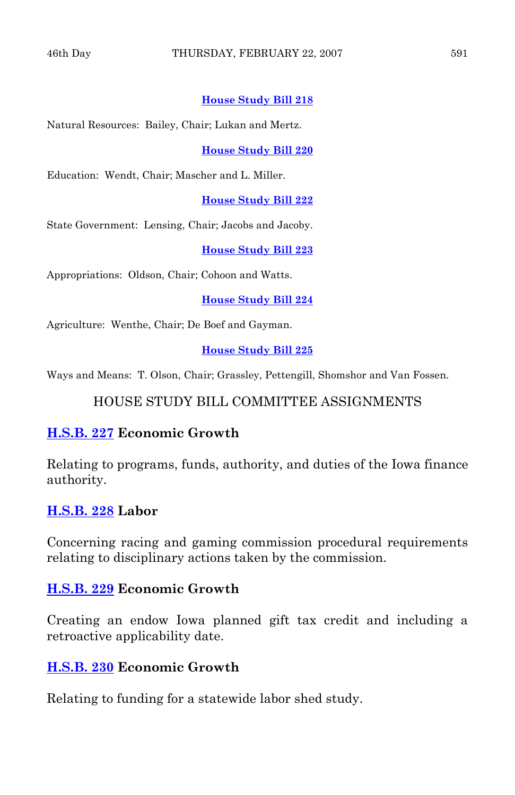# **[House Study Bill 218](http://coolice.legis.state.ia.us/Cool-ICE/default.asp?Category=billinfo&Service=Billbook&frame=1&GA=82&hbill=HSB218)**

Natural Resources: Bailey, Chair; Lukan and Mertz.

**[House Study Bill 220](http://coolice.legis.state.ia.us/Cool-ICE/default.asp?Category=billinfo&Service=Billbook&frame=1&GA=82&hbill=HSB220)**

Education: Wendt, Chair; Mascher and L. Miller.

**[House Study Bill 222](http://coolice.legis.state.ia.us/Cool-ICE/default.asp?Category=billinfo&Service=Billbook&frame=1&GA=82&hbill=HSB222)**

State Government: Lensing, Chair; Jacobs and Jacoby.

**[House Study Bill 223](http://coolice.legis.state.ia.us/Cool-ICE/default.asp?Category=billinfo&Service=Billbook&frame=1&GA=82&hbill=HSB223)**

Appropriations: Oldson, Chair; Cohoon and Watts.

**[House Study Bill 224](http://coolice.legis.state.ia.us/Cool-ICE/default.asp?Category=billinfo&Service=Billbook&frame=1&GA=82&hbill=HSB224)**

Agriculture: Wenthe, Chair; De Boef and Gayman.

**[House Study Bill 225](http://coolice.legis.state.ia.us/Cool-ICE/default.asp?Category=billinfo&Service=Billbook&frame=1&GA=82&hbill=HSB225)**

Ways and Means: T. Olson, Chair; Grassley, Pettengill, Shomshor and Van Fossen.

HOUSE STUDY BILL COMMITTEE ASSIGNMENTS

# **[H.S.B. 227](http://coolice.legis.state.ia.us/Cool-ICE/default.asp?Category=billinfo&Service=Billbook&frame=1&GA=82&hbill=HSB227) Economic Growth**

Relating to programs, funds, authority, and duties of the Iowa finance authority.

# **[H.S.B. 228](http://coolice.legis.state.ia.us/Cool-ICE/default.asp?Category=billinfo&Service=Billbook&frame=1&GA=82&hbill=HSB228) Labor**

Concerning racing and gaming commission procedural requirements relating to disciplinary actions taken by the commission.

# **[H.S.B. 229](http://coolice.legis.state.ia.us/Cool-ICE/default.asp?Category=billinfo&Service=Billbook&frame=1&GA=82&hbill=HSB229) Economic Growth**

Creating an endow Iowa planned gift tax credit and including a retroactive applicability date.

# **[H.S.B. 230](http://coolice.legis.state.ia.us/Cool-ICE/default.asp?Category=billinfo&Service=Billbook&frame=1&GA=82&hbill=HSB230) Economic Growth**

Relating to funding for a statewide labor shed study.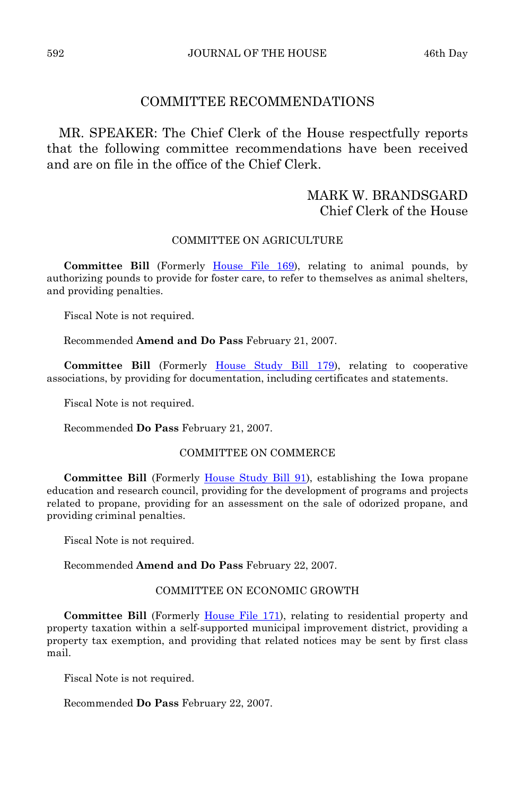# COMMITTEE RECOMMENDATIONS

 MR. SPEAKER: The Chief Clerk of the House respectfully reports that the following committee recommendations have been received and are on file in the office of the Chief Clerk.

# MARK W. BRANDSGARD Chief Clerk of the House

# COMMITTEE ON AGRICULTURE

 **Committee Bill** (Formerly [House File 169](http://coolice.legis.state.ia.us/Cool-ICE/default.asp?Category=billinfo&Service=Billbook&frame=1&GA=82&hbill=HF169)), relating to animal pounds, by authorizing pounds to provide for foster care, to refer to themselves as animal shelters, and providing penalties.

Fiscal Note is not required.

Recommended **Amend and Do Pass** February 21, 2007.

**Committee Bill** (Formerly [House Study Bill 179](http://coolice.legis.state.ia.us/Cool-ICE/default.asp?Category=billinfo&Service=Billbook&frame=1&GA=82&hbill=HSB179)), relating to cooperative associations, by providing for documentation, including certificates and statements.

Fiscal Note is not required.

Recommended **Do Pass** February 21, 2007.

# COMMITTEE ON COMMERCE

 **Committee Bill** (Formerly [House Study Bill 91\)](http://coolice.legis.state.ia.us/Cool-ICE/default.asp?Category=billinfo&Service=Billbook&frame=1&GA=82&hbill=HSB91), establishing the Iowa propane education and research council, providing for the development of programs and projects related to propane, providing for an assessment on the sale of odorized propane, and providing criminal penalties.

Fiscal Note is not required.

#### Recommended **Amend and Do Pass** February 22, 2007.

## COMMITTEE ON ECONOMIC GROWTH

**Committee Bill** (Formerly [House File 171](http://coolice.legis.state.ia.us/Cool-ICE/default.asp?Category=billinfo&Service=Billbook&frame=1&GA=82&hbill=HF171)), relating to residential property and property taxation within a self-supported municipal improvement district, providing a property tax exemption, and providing that related notices may be sent by first class mail.

Fiscal Note is not required.

# Recommended **Do Pass** February 22, 2007.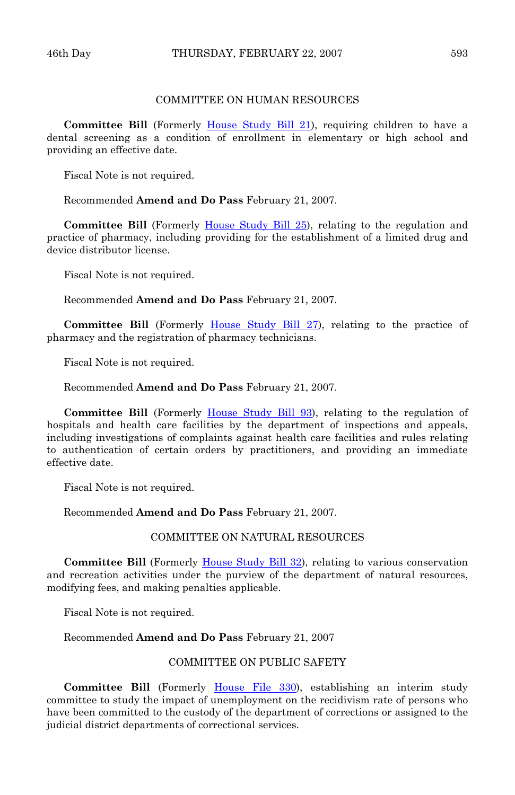# COMMITTEE ON HUMAN RESOURCES

**Committee Bill** (Formerly [House Study Bill 21](http://coolice.legis.state.ia.us/Cool-ICE/default.asp?Category=billinfo&Service=Billbook&frame=1&GA=82&hbill=HSB21)), requiring children to have a dental screening as a condition of enrollment in elementary or high school and providing an effective date.

Fiscal Note is not required.

Recommended **Amend and Do Pass** February 21, 2007.

**Committee Bill** (Formerly [House Study Bill 25\)](http://coolice.legis.state.ia.us/Cool-ICE/default.asp?Category=billinfo&Service=Billbook&frame=1&GA=82&hbill=HSB25), relating to the regulation and practice of pharmacy, including providing for the establishment of a limited drug and device distributor license.

Fiscal Note is not required.

Recommended **Amend and Do Pass** February 21, 2007.

 **Committee Bill** (Formerly [House Study Bill 27\)](http://coolice.legis.state.ia.us/Cool-ICE/default.asp?Category=billinfo&Service=Billbook&frame=1&GA=82&hbill=HSB27), relating to the practice of pharmacy and the registration of pharmacy technicians.

Fiscal Note is not required.

Recommended **Amend and Do Pass** February 21, 2007.

**Committee Bill** (Formerly [House Study Bill 93](http://coolice.legis.state.ia.us/Cool-ICE/default.asp?Category=billinfo&Service=Billbook&frame=1&GA=82&hbill=HSB93)), relating to the regulation of hospitals and health care facilities by the department of inspections and appeals, including investigations of complaints against health care facilities and rules relating to authentication of certain orders by practitioners, and providing an immediate effective date.

Fiscal Note is not required.

Recommended **Amend and Do Pass** February 21, 2007.

## COMMITTEE ON NATURAL RESOURCES

**Committee Bill** (Formerly [House Study Bill 32](http://coolice.legis.state.ia.us/Cool-ICE/default.asp?Category=billinfo&Service=Billbook&frame=1&GA=82&hbill=HSB32)), relating to various conservation and recreation activities under the purview of the department of natural resources, modifying fees, and making penalties applicable.

Fiscal Note is not required.

#### Recommended **Amend and Do Pass** February 21, 2007

#### COMMITTEE ON PUBLIC SAFETY

**Committee Bill** (Formerly [House File 330\)](http://coolice.legis.state.ia.us/Cool-ICE/default.asp?Category=billinfo&Service=Billbook&frame=1&GA=82&hbill=HF330), establishing an interim study committee to study the impact of unemployment on the recidivism rate of persons who have been committed to the custody of the department of corrections or assigned to the judicial district departments of correctional services.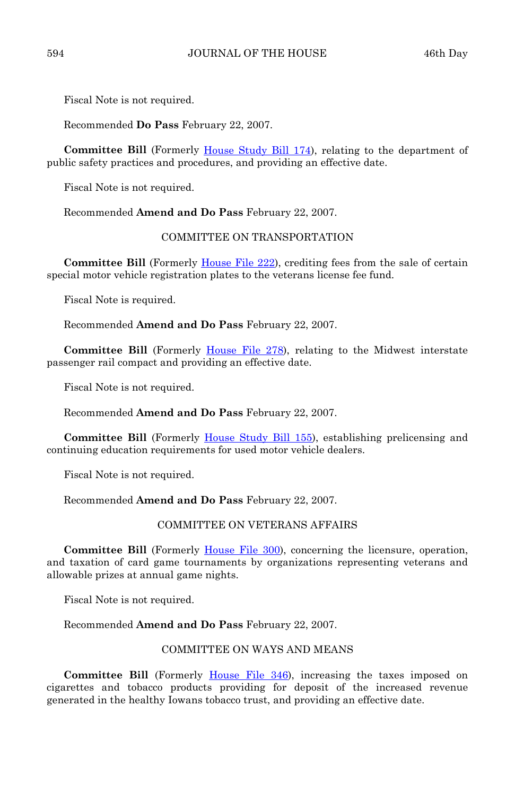Fiscal Note is not required.

Recommended **Do Pass** February 22, 2007.

**Committee Bill** (Formerly [House Study Bill 174](http://coolice.legis.state.ia.us/Cool-ICE/default.asp?Category=billinfo&Service=Billbook&frame=1&GA=82&hbill=HSB174)), relating to the department of public safety practices and procedures, and providing an effective date.

Fiscal Note is not required.

Recommended **Amend and Do Pass** February 22, 2007.

## COMMITTEE ON TRANSPORTATION

**Committee Bill** (Formerly [House File 222](http://coolice.legis.state.ia.us/Cool-ICE/default.asp?Category=billinfo&Service=Billbook&frame=1&GA=82&hbill=HF222)), crediting fees from the sale of certain special motor vehicle registration plates to the veterans license fee fund.

Fiscal Note is required.

Recommended **Amend and Do Pass** February 22, 2007.

**Committee Bill** (Formerly [House File 278\)](http://coolice.legis.state.ia.us/Cool-ICE/default.asp?Category=billinfo&Service=Billbook&frame=1&GA=82&hbill=HF278), relating to the Midwest interstate passenger rail compact and providing an effective date.

Fiscal Note is not required.

Recommended **Amend and Do Pass** February 22, 2007.

**Committee Bill** (Formerly [House Study Bill 155](http://coolice.legis.state.ia.us/Cool-ICE/default.asp?Category=billinfo&Service=Billbook&frame=1&GA=82&hbill=HSB155)), establishing prelicensing and continuing education requirements for used motor vehicle dealers.

Fiscal Note is not required.

Recommended **Amend and Do Pass** February 22, 2007.

#### COMMITTEE ON VETERANS AFFAIRS

**Committee Bill** (Formerly [House File 300](http://coolice.legis.state.ia.us/Cool-ICE/default.asp?Category=billinfo&Service=Billbook&frame=1&GA=82&hbill=HF300)), concerning the licensure, operation, and taxation of card game tournaments by organizations representing veterans and allowable prizes at annual game nights.

Fiscal Note is not required.

Recommended **Amend and Do Pass** February 22, 2007.

# COMMITTEE ON WAYS AND MEANS

 **Committee Bill** (Formerly [House File 346\)](http://coolice.legis.state.ia.us/Cool-ICE/default.asp?Category=billinfo&Service=Billbook&frame=1&GA=82&hbill=HF346), increasing the taxes imposed on cigarettes and tobacco products providing for deposit of the increased revenue generated in the healthy Iowans tobacco trust, and providing an effective date.